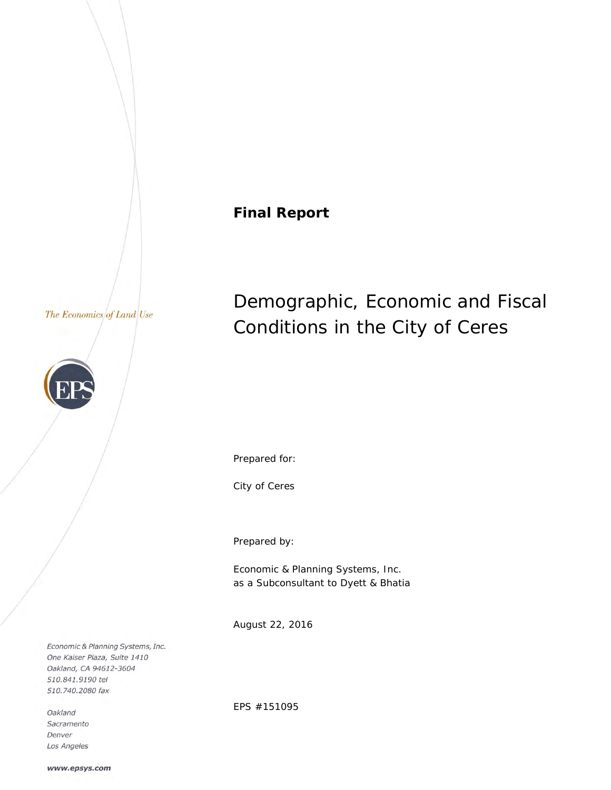# **Final Report**

### The Economics of Land Use



# Demographic, Economic and Fiscal Conditions in the City of Ceres

Prepared for:

City of Ceres

Prepared by:

Economic & Planning Systems, Inc. as a Subconsultant to Dyett & Bhatia

August 22, 2016

Economic & Planning Systems, Inc. One Kaiser Plaza, Suite 1410 Oakland, CA 94612-3604 510.841.9190 tel 510.740.2080 fax

Oakland Sacramento Denver Los Angeles EPS #151095

www.epsys.com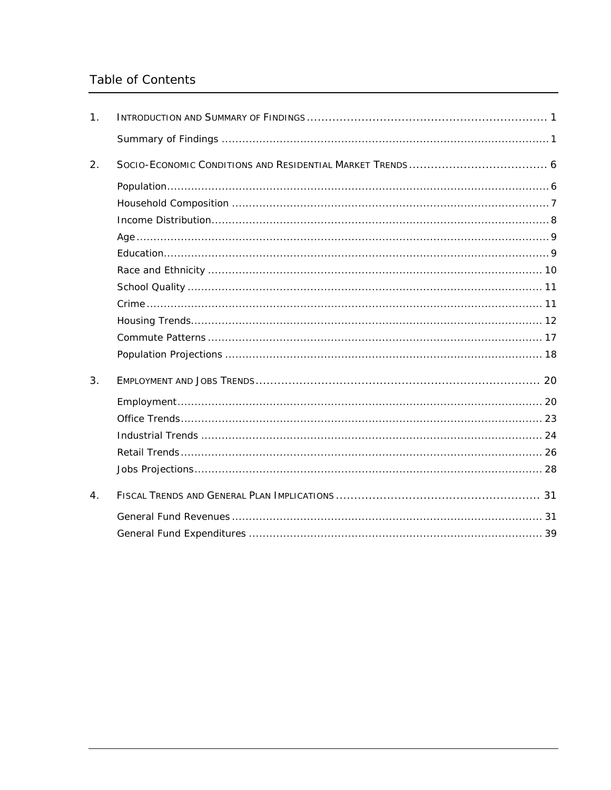# Table of Contents

| $\mathbf{1}$ .   |  |
|------------------|--|
|                  |  |
| 2.               |  |
|                  |  |
|                  |  |
|                  |  |
|                  |  |
|                  |  |
|                  |  |
|                  |  |
|                  |  |
|                  |  |
|                  |  |
|                  |  |
| 3.               |  |
|                  |  |
|                  |  |
|                  |  |
|                  |  |
|                  |  |
| $\overline{4}$ . |  |
|                  |  |
|                  |  |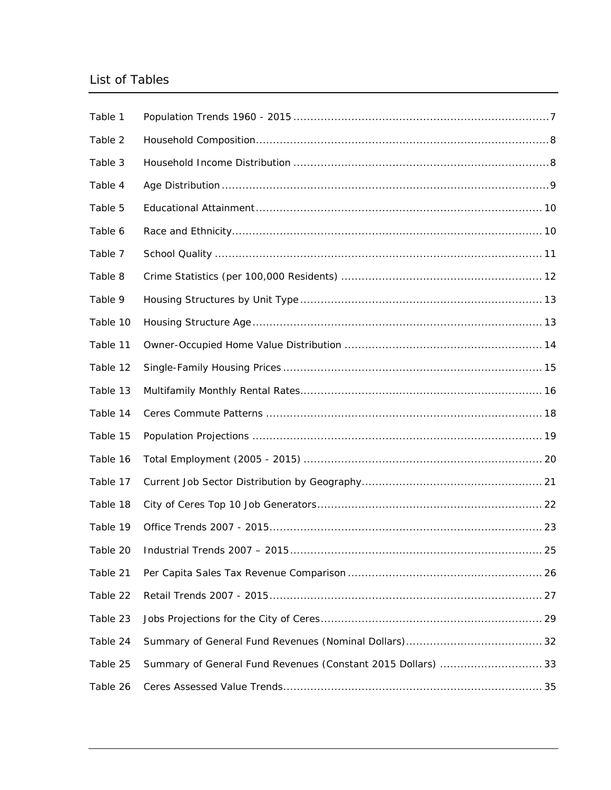# List of Tables

| Table 1  |                                                             |
|----------|-------------------------------------------------------------|
| Table 2  |                                                             |
| Table 3  |                                                             |
| Table 4  |                                                             |
| Table 5  |                                                             |
| Table 6  |                                                             |
| Table 7  |                                                             |
| Table 8  |                                                             |
| Table 9  |                                                             |
| Table 10 |                                                             |
| Table 11 |                                                             |
| Table 12 |                                                             |
| Table 13 |                                                             |
| Table 14 |                                                             |
| Table 15 |                                                             |
| Table 16 |                                                             |
| Table 17 |                                                             |
| Table 18 |                                                             |
| Table 19 |                                                             |
| Table 20 |                                                             |
| Table 21 |                                                             |
| Table 22 |                                                             |
| Table 23 |                                                             |
| Table 24 |                                                             |
| Table 25 | Summary of General Fund Revenues (Constant 2015 Dollars) 33 |
|          |                                                             |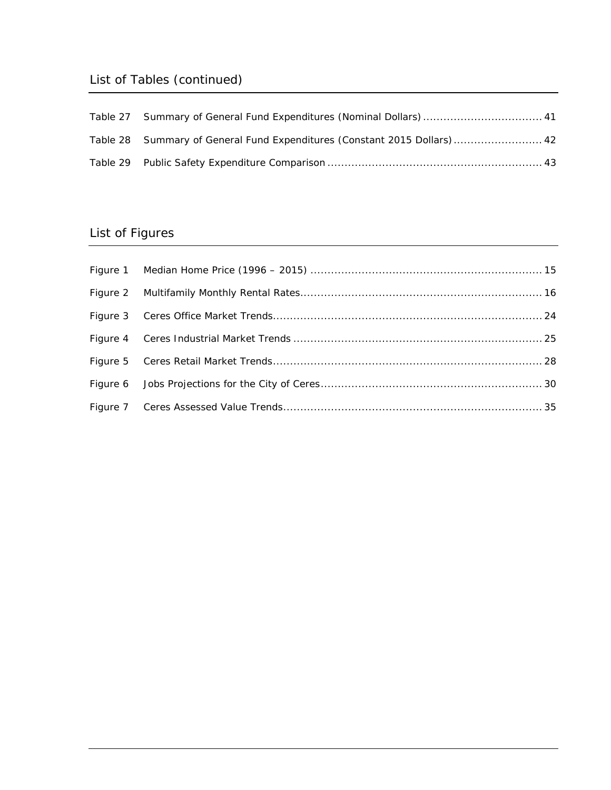# List of Tables (continued)

| Table 27 Summary of General Fund Expenditures (Nominal Dollars)  41       |
|---------------------------------------------------------------------------|
| Table 28 Summary of General Fund Expenditures (Constant 2015 Dollars)  42 |
|                                                                           |

# List of Figures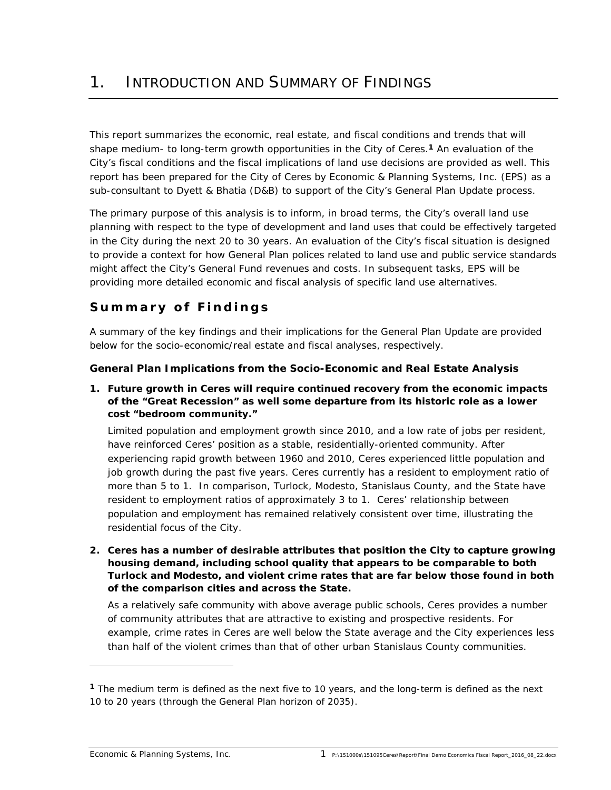This report summarizes the economic, real estate, and fiscal conditions and trends that will shape medium- to long-term growth opportunities in the City of Ceres.**1** An evaluation of the City's fiscal conditions and the fiscal implications of land use decisions are provided as well. This report has been prepared for the City of Ceres by Economic & Planning Systems, Inc. (EPS) as a sub-consultant to Dyett & Bhatia (D&B) to support of the City's General Plan Update process.

The primary purpose of this analysis is to inform, in broad terms, the City's overall land use planning with respect to the type of development and land uses that could be effectively targeted in the City during the next 20 to 30 years. An evaluation of the City's fiscal situation is designed to provide a context for how General Plan polices related to land use and public service standards might affect the City's General Fund revenues and costs. In subsequent tasks, EPS will be providing more detailed economic and fiscal analysis of specific land use alternatives.

# **Summary of Findings**

A summary of the key findings and their implications for the General Plan Update are provided below for the socio-economic/real estate and fiscal analyses, respectively.

### **General Plan Implications from the Socio-Economic and Real Estate Analysis**

*1. Future growth in Ceres will require continued recovery from the economic impacts of the "Great Recession" as well some departure from its historic role as a lower cost "bedroom community."* 

Limited population and employment growth since 2010, and a low rate of jobs per resident, have reinforced Ceres' position as a stable, residentially-oriented community. After experiencing rapid growth between 1960 and 2010, Ceres experienced little population and job growth during the past five years. Ceres currently has a resident to employment ratio of more than 5 to 1. In comparison, Turlock, Modesto, Stanislaus County, and the State have resident to employment ratios of approximately 3 to 1. Ceres' relationship between population and employment has remained relatively consistent over time, illustrating the residential focus of the City.

*2. Ceres has a number of desirable attributes that position the City to capture growing housing demand, including school quality that appears to be comparable to both Turlock and Modesto, and violent crime rates that are far below those found in both of the comparison cities and across the State.* 

As a relatively safe community with above average public schools, Ceres provides a number of community attributes that are attractive to existing and prospective residents. For example, crime rates in Ceres are well below the State average and the City experiences less than half of the violent crimes than that of other urban Stanislaus County communities.

**<sup>1</sup>** The medium term is defined as the next five to 10 years, and the long-term is defined as the next 10 to 20 years (through the General Plan horizon of 2035).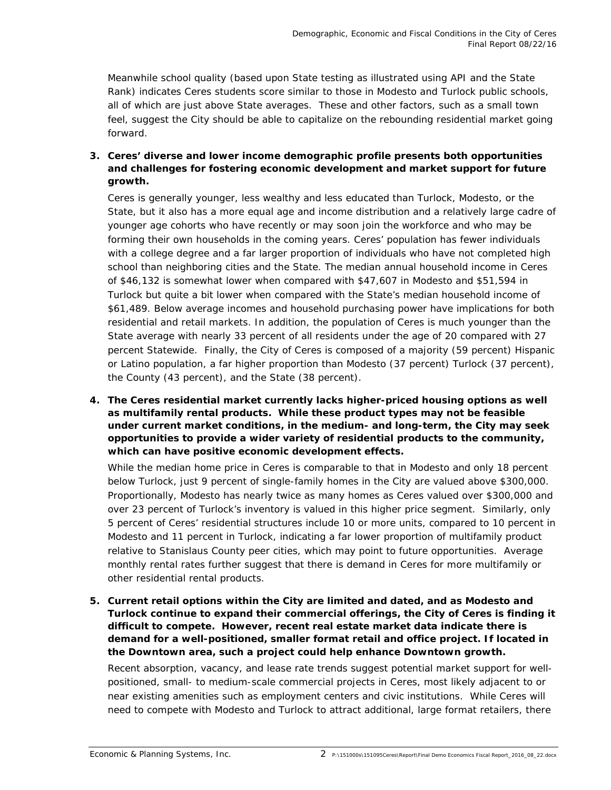Meanwhile school quality (based upon State testing as illustrated using API and the State Rank) indicates Ceres students score similar to those in Modesto and Turlock public schools, all of which are just above State averages. These and other factors, such as a small town feel, suggest the City should be able to capitalize on the rebounding residential market going forward.

*3. Ceres' diverse and lower income demographic profile presents both opportunities and challenges for fostering economic development and market support for future growth.* 

Ceres is generally younger, less wealthy and less educated than Turlock, Modesto, or the State, but it also has a more equal age and income distribution and a relatively large cadre of younger age cohorts who have recently or may soon join the workforce and who may be forming their own households in the coming years. Ceres' population has fewer individuals with a college degree and a far larger proportion of individuals who have not completed high school than neighboring cities and the State. The median annual household income in Ceres of \$46,132 is somewhat lower when compared with \$47,607 in Modesto and \$51,594 in Turlock but quite a bit lower when compared with the State's median household income of \$61,489. Below average incomes and household purchasing power have implications for both residential and retail markets. In addition, the population of Ceres is much younger than the State average with nearly 33 percent of all residents under the age of 20 compared with 27 percent Statewide. Finally, the City of Ceres is composed of a majority (59 percent) Hispanic or Latino population, a far higher proportion than Modesto (37 percent) Turlock (37 percent), the County (43 percent), and the State (38 percent).

*4. The Ceres residential market currently lacks higher-priced housing options as well as multifamily rental products. While these product types may not be feasible under current market conditions, in the medium- and long-term, the City may seek opportunities to provide a wider variety of residential products to the community, which can have positive economic development effects.* 

While the median home price in Ceres is comparable to that in Modesto and only 18 percent below Turlock, just 9 percent of single-family homes in the City are valued above \$300,000. Proportionally, Modesto has nearly twice as many homes as Ceres valued over \$300,000 and over 23 percent of Turlock's inventory is valued in this higher price segment. Similarly, only 5 percent of Ceres' residential structures include 10 or more units, compared to 10 percent in Modesto and 11 percent in Turlock, indicating a far lower proportion of multifamily product relative to Stanislaus County peer cities, which may point to future opportunities. Average monthly rental rates further suggest that there is demand in Ceres for more multifamily or other residential rental products.

*5. Current retail options within the City are limited and dated, and as Modesto and Turlock continue to expand their commercial offerings, the City of Ceres is finding it difficult to compete. However, recent real estate market data indicate there is demand for a well-positioned, smaller format retail and office project. If located in the Downtown area, such a project could help enhance Downtown growth.* 

Recent absorption, vacancy, and lease rate trends suggest potential market support for wellpositioned, small- to medium-scale commercial projects in Ceres, most likely adjacent to or near existing amenities such as employment centers and civic institutions. While Ceres will need to compete with Modesto and Turlock to attract additional, large format retailers, there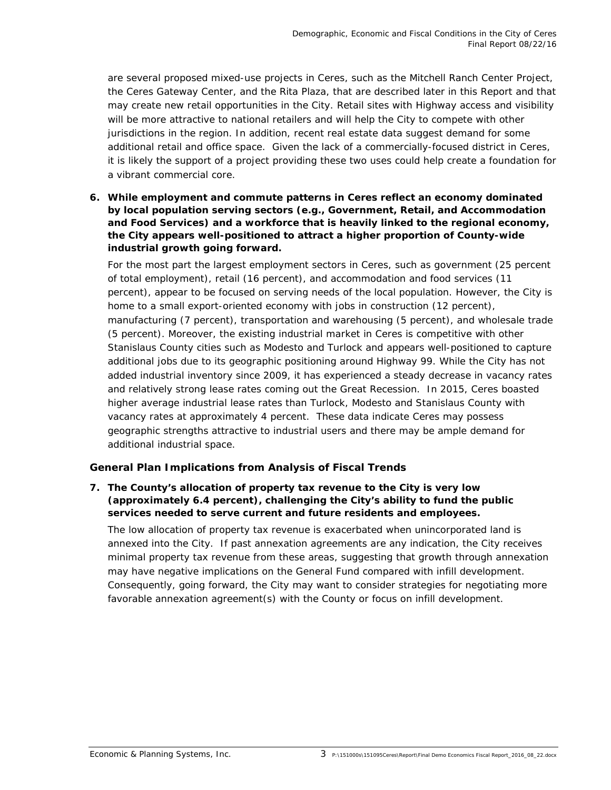are several proposed mixed-use projects in Ceres, such as the Mitchell Ranch Center Project, the Ceres Gateway Center, and the Rita Plaza, that are described later in this Report and that may create new retail opportunities in the City. Retail sites with Highway access and visibility will be more attractive to national retailers and will help the City to compete with other jurisdictions in the region. In addition, recent real estate data suggest demand for some additional retail and office space. Given the lack of a commercially-focused district in Ceres, it is likely the support of a project providing these two uses could help create a foundation for a vibrant commercial core.

*6. While employment and commute patterns in Ceres reflect an economy dominated by local population serving sectors (e.g., Government, Retail, and Accommodation and Food Services) and a workforce that is heavily linked to the regional economy, the City appears well-positioned to attract a higher proportion of County-wide industrial growth going forward.* 

For the most part the largest employment sectors in Ceres, such as government (25 percent of total employment), retail (16 percent), and accommodation and food services (11 percent), appear to be focused on serving needs of the local population. However, the City is home to a small export-oriented economy with jobs in construction (12 percent), manufacturing (7 percent), transportation and warehousing (5 percent), and wholesale trade (5 percent). Moreover, the existing industrial market in Ceres is competitive with other Stanislaus County cities such as Modesto and Turlock and appears well-positioned to capture additional jobs due to its geographic positioning around Highway 99. While the City has not added industrial inventory since 2009, it has experienced a steady decrease in vacancy rates and relatively strong lease rates coming out the Great Recession. In 2015, Ceres boasted higher average industrial lease rates than Turlock, Modesto and Stanislaus County with vacancy rates at approximately 4 percent. These data indicate Ceres may possess geographic strengths attractive to industrial users and there may be ample demand for additional industrial space.

### **General Plan Implications from Analysis of Fiscal Trends**

### *7. The County's allocation of property tax revenue to the City is very low (approximately 6.4 percent), challenging the City's ability to fund the public services needed to serve current and future residents and employees.*

The low allocation of property tax revenue is exacerbated when unincorporated land is annexed into the City. If past annexation agreements are any indication, the City receives minimal property tax revenue from these areas, suggesting that growth through annexation may have negative implications on the General Fund compared with infill development. Consequently, going forward, the City may want to consider strategies for negotiating more favorable annexation agreement(s) with the County or focus on infill development.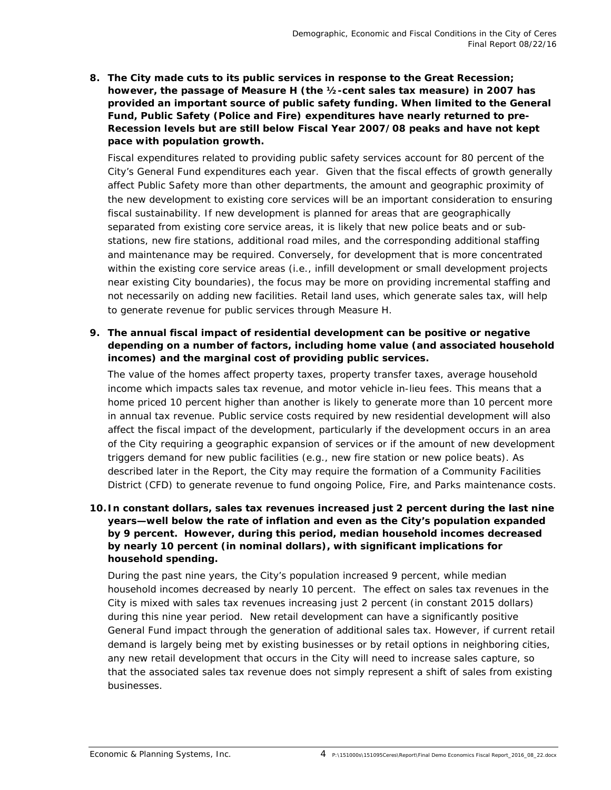*8. The City made cuts to its public services in response to the Great Recession; however, the passage of Measure H (the ½-cent sales tax measure) in 2007 has provided an important source of public safety funding. When limited to the General Fund, Public Safety (Police and Fire) expenditures have nearly returned to pre-Recession levels but are still below Fiscal Year 2007/08 peaks and have not kept pace with population growth.* 

Fiscal expenditures related to providing public safety services account for 80 percent of the City's General Fund expenditures each year. Given that the fiscal effects of growth generally affect Public Safety more than other departments, the amount and geographic proximity of the new development to existing core services will be an important consideration to ensuring fiscal sustainability. If new development is planned for areas that are geographically separated from existing core service areas, it is likely that new police beats and or substations, new fire stations, additional road miles, and the corresponding additional staffing and maintenance may be required. Conversely, for development that is more concentrated within the existing core service areas (i.e., infill development or small development projects near existing City boundaries), the focus may be more on providing incremental staffing and not necessarily on adding new facilities. Retail land uses, which generate sales tax, will help to generate revenue for public services through Measure H.

### *9. The annual fiscal impact of residential development can be positive or negative depending on a number of factors, including home value (and associated household incomes) and the marginal cost of providing public services.*

The value of the homes affect property taxes, property transfer taxes, average household income which impacts sales tax revenue, and motor vehicle in-lieu fees. This means that a home priced 10 percent higher than another is likely to generate more than 10 percent more in annual tax revenue. Public service costs required by new residential development will also affect the fiscal impact of the development, particularly if the development occurs in an area of the City requiring a geographic expansion of services or if the amount of new development triggers demand for new public facilities (e.g., new fire station or new police beats). As described later in the Report, the City may require the formation of a Community Facilities District (CFD) to generate revenue to fund ongoing Police, Fire, and Parks maintenance costs.

### *10.In constant dollars, sales tax revenues increased just 2 percent during the last nine years—well below the rate of inflation and even as the City's population expanded by 9 percent. However, during this period, median household incomes decreased by nearly 10 percent (in nominal dollars), with significant implications for household spending.*

During the past nine years, the City's population increased 9 percent, while median household incomes decreased by nearly 10 percent. The effect on sales tax revenues in the City is mixed with sales tax revenues increasing just 2 percent (in constant 2015 dollars) during this nine year period. New retail development can have a significantly positive General Fund impact through the generation of additional sales tax. However, if current retail demand is largely being met by existing businesses or by retail options in neighboring cities, any new retail development that occurs in the City will need to increase sales capture, so that the associated sales tax revenue does not simply represent a shift of sales from existing businesses.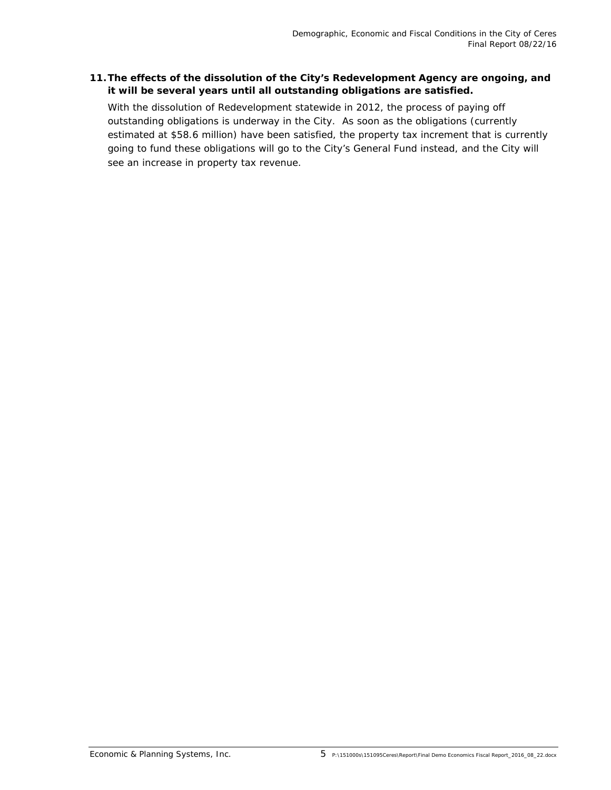### *11.The effects of the dissolution of the City's Redevelopment Agency are ongoing, and it will be several years until all outstanding obligations are satisfied.*

With the dissolution of Redevelopment statewide in 2012, the process of paying off outstanding obligations is underway in the City. As soon as the obligations (currently estimated at \$58.6 million) have been satisfied, the property tax increment that is currently going to fund these obligations will go to the City's General Fund instead, and the City will see an increase in property tax revenue.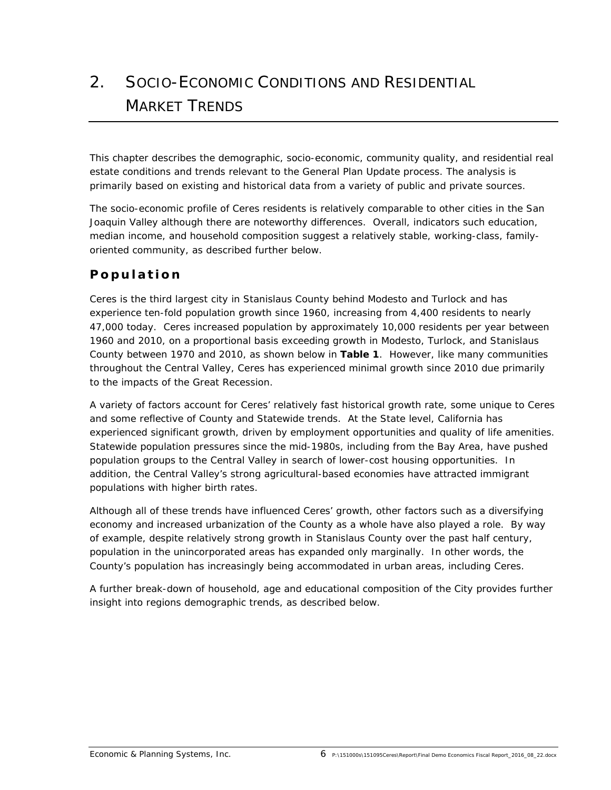# *2. SOCIO-ECONOMIC CONDITIONS AND RESIDENTIAL MARKET TRENDS*

This chapter describes the demographic, socio-economic, community quality, and residential real estate conditions and trends relevant to the General Plan Update process. The analysis is primarily based on existing and historical data from a variety of public and private sources.

The socio-economic profile of Ceres residents is relatively comparable to other cities in the San Joaquin Valley although there are noteworthy differences. Overall, indicators such education, median income, and household composition suggest a relatively stable, working-class, familyoriented community, as described further below.

# **Population**

Ceres is the third largest city in Stanislaus County behind Modesto and Turlock and has experience ten-fold population growth since 1960, increasing from 4,400 residents to nearly 47,000 today. Ceres increased population by approximately 10,000 residents per year between 1960 and 2010, on a proportional basis exceeding growth in Modesto, Turlock, and Stanislaus County between 1970 and 2010, as shown below in **Table 1**. However, like many communities throughout the Central Valley, Ceres has experienced minimal growth since 2010 due primarily to the impacts of the Great Recession.

A variety of factors account for Ceres' relatively fast historical growth rate, some unique to Ceres and some reflective of County and Statewide trends. At the State level, California has experienced significant growth, driven by employment opportunities and quality of life amenities. Statewide population pressures since the mid-1980s, including from the Bay Area, have pushed population groups to the Central Valley in search of lower-cost housing opportunities. In addition, the Central Valley's strong agricultural-based economies have attracted immigrant populations with higher birth rates.

Although all of these trends have influenced Ceres' growth, other factors such as a diversifying economy and increased urbanization of the County as a whole have also played a role. By way of example, despite relatively strong growth in Stanislaus County over the past half century, population in the unincorporated areas has expanded only marginally. In other words, the County's population has increasingly being accommodated in urban areas, including Ceres.

A further break-down of household, age and educational composition of the City provides further insight into regions demographic trends, as described below.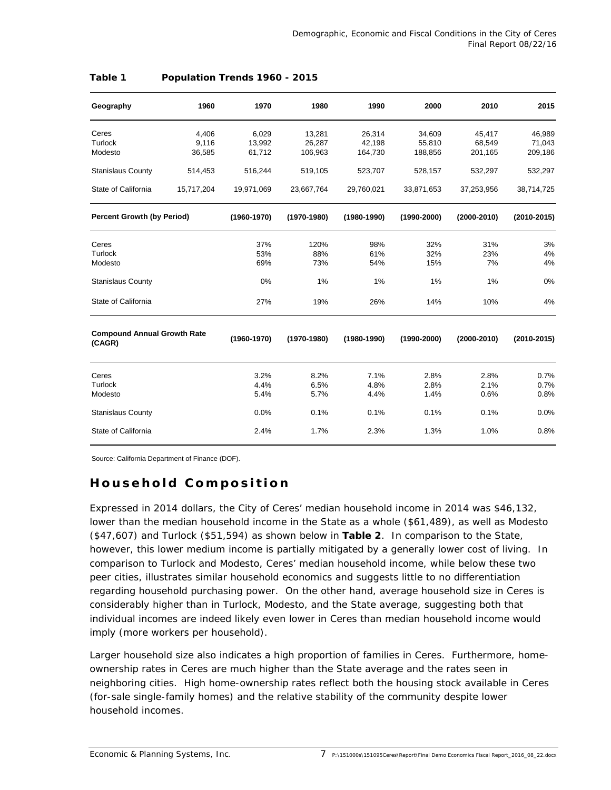| Geography                                    | 1960       | 1970            | 1980            | 1990            | 2000            | 2010            | 2015            |
|----------------------------------------------|------------|-----------------|-----------------|-----------------|-----------------|-----------------|-----------------|
| Ceres                                        | 4,406      | 6,029           | 13,281          | 26,314          | 34,609          | 45,417          | 46,989          |
| <b>Turlock</b>                               | 9,116      | 13,992          | 26,287          | 42,198          | 55,810          | 68,549          | 71,043          |
| Modesto                                      | 36,585     | 61,712          | 106,963         | 164,730         | 188,856         | 201,165         | 209,186         |
| <b>Stanislaus County</b>                     | 514,453    | 516,244         | 519,105         | 523,707         | 528,157         | 532,297         | 532,297         |
| State of California                          | 15,717,204 | 19,971,069      | 23,667,764      | 29,760,021      | 33,871,653      | 37,253,956      | 38,714,725      |
| <b>Percent Growth (by Period)</b>            |            | $(1960 - 1970)$ | (1970-1980)     | $(1980 - 1990)$ | $(1990 - 2000)$ | $(2000 - 2010)$ | $(2010 - 2015)$ |
| Ceres                                        |            | 37%             | 120%            | 98%             | 32%             | 31%             | 3%              |
| Turlock                                      |            | 53%             | 88%             | 61%             | 32%             | 23%             | 4%              |
| Modesto                                      |            | 69%             | 73%             | 54%             | 15%             | 7%              | 4%              |
| <b>Stanislaus County</b>                     |            | 0%              | 1%              | 1%              | 1%              | 1%              | 0%              |
| State of California                          |            | 27%             | 19%             | 26%             | 14%             | 10%             | 4%              |
| <b>Compound Annual Growth Rate</b><br>(CAGR) |            | $(1960 - 1970)$ | $(1970 - 1980)$ | $(1980 - 1990)$ | $(1990 - 2000)$ | $(2000 - 2010)$ | $(2010 - 2015)$ |
| Ceres                                        |            | 3.2%            | 8.2%            | 7.1%            | 2.8%            | 2.8%            | 0.7%            |
| Turlock                                      |            | 4.4%            | 6.5%            | 4.8%            | 2.8%            | 2.1%            | 0.7%            |
| Modesto                                      |            | 5.4%            | 5.7%            | 4.4%            | 1.4%            | 0.6%            | 0.8%            |
| <b>Stanislaus County</b>                     |            | 0.0%            | 0.1%            | 0.1%            | 0.1%            | 0.1%            | 0.0%            |
| State of California                          |            | 2.4%            | 1.7%            | 2.3%            | 1.3%            | 1.0%            | 0.8%            |

### **Table 1 Population Trends 1960 - 2015**

Source: California Department of Finance (DOF).

### **Household Composition**

Expressed in 2014 dollars, the City of Ceres' median household income in 2014 was \$46,132, lower than the median household income in the State as a whole (\$61,489), as well as Modesto (\$47,607) and Turlock (\$51,594) as shown below in **Table 2**. In comparison to the State, however, this lower medium income is partially mitigated by a generally lower cost of living. In comparison to Turlock and Modesto, Ceres' median household income, while below these two peer cities, illustrates similar household economics and suggests little to no differentiation regarding household purchasing power. On the other hand, average household size in Ceres is considerably higher than in Turlock, Modesto, and the State average, suggesting both that individual incomes are indeed likely even lower in Ceres than median household income would imply (more workers per household).

Larger household size also indicates a high proportion of families in Ceres. Furthermore, homeownership rates in Ceres are much higher than the State average and the rates seen in neighboring cities. High home-ownership rates reflect both the housing stock available in Ceres (for-sale single-family homes) and the relative stability of the community despite lower household incomes.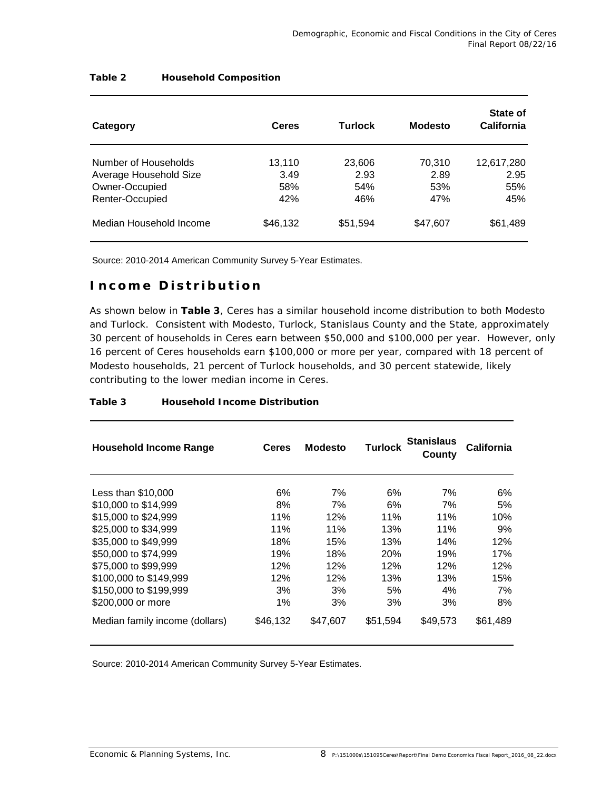| Category                                       | <b>Ceres</b>          | <b>Turlock</b>        | <b>Modesto</b> | State of<br><b>California</b> |
|------------------------------------------------|-----------------------|-----------------------|----------------|-------------------------------|
| Number of Households<br>Average Household Size | 13,110<br>3.49<br>58% | 23,606<br>2.93<br>54% | 70,310<br>2.89 | 12,617,280<br>2.95            |
| Owner-Occupied<br>Renter-Occupied              | 42%                   | 46%                   | 53%<br>47%     | 55%<br>45%                    |
| Median Household Income                        | \$46,132              | \$51,594              | \$47,607       | \$61,489                      |

### **Table 2 Household Composition**

Source: 2010-2014 American Community Survey 5-Year Estimates.

### **Income Distribution**

As shown below in **Table 3**, Ceres has a similar household income distribution to both Modesto and Turlock. Consistent with Modesto, Turlock, Stanislaus County and the State, approximately 30 percent of households in Ceres earn between \$50,000 and \$100,000 per year. However, only 16 percent of Ceres households earn \$100,000 or more per year, compared with 18 percent of Modesto households, 21 percent of Turlock households, and 30 percent statewide, likely contributing to the lower median income in Ceres.

| <b>Household Income Range</b>  | <b>Ceres</b> | <b>Modesto</b> | Turlock    | <b>Stanislaus</b><br>County | California |
|--------------------------------|--------------|----------------|------------|-----------------------------|------------|
| Less than $$10.000$            | 6%           | 7%             | 6%         | 7%                          | 6%         |
| \$10,000 to \$14,999           | 8%           | 7%             | 6%         | 7%                          | 5%         |
| \$15,000 to \$24,999           | 11%          | 12%            | 11%        | 11%                         | 10%        |
| \$25,000 to \$34,999           | 11%          | 11%            | 13%        | 11%                         | 9%         |
| \$35,000 to \$49,999           | 18%          | 15%            | 13%        | 14%                         | 12%        |
| \$50,000 to \$74,999           | 19%          | 18%            | <b>20%</b> | 19%                         | 17%        |
| \$75,000 to \$99,999           | 12%          | 12%            | 12%        | 12%                         | 12%        |
| \$100,000 to \$149,999         | 12%          | 12%            | 13%        | 13%                         | 15%        |
| \$150,000 to \$199,999         | 3%           | 3%             | 5%         | 4%                          | 7%         |
| \$200,000 or more              | 1%           | 3%             | 3%         | 3%                          | 8%         |
| Median family income (dollars) | \$46,132     | \$47.607       | \$51,594   | \$49,573                    | \$61,489   |

#### **Table 3 Household Income Distribution**

Source: 2010-2014 American Community Survey 5-Year Estimates.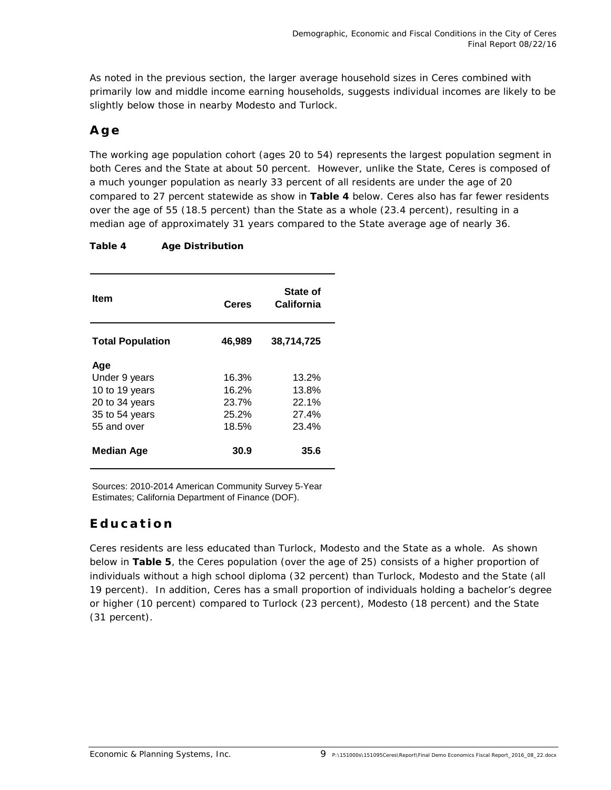As noted in the previous section, the larger average household sizes in Ceres combined with primarily low and middle income earning households, suggests individual incomes are likely to be slightly below those in nearby Modesto and Turlock.

## **Age**

The working age population cohort (ages 20 to 54) represents the largest population segment in both Ceres and the State at about 50 percent. However, unlike the State, Ceres is composed of a much younger population as nearly 33 percent of all residents are under the age of 20 compared to 27 percent statewide as show in **Table 4** below. Ceres also has far fewer residents over the age of 55 (18.5 percent) than the State as a whole (23.4 percent), resulting in a median age of approximately 31 years compared to the State average age of nearly 36.

| Table 4 | <b>Age Distribution</b> |
|---------|-------------------------|
|---------|-------------------------|

| Item                    | <b>Ceres</b> | State of<br>California |
|-------------------------|--------------|------------------------|
| <b>Total Population</b> | 46,989       | 38,714,725             |
| Age                     |              |                        |
| Under 9 years           | 16.3%        | 13.2%                  |
| 10 to 19 years          | 16.2%        | 13.8%                  |
| 20 to 34 years          | 23.7%        | 22.1%                  |
| 35 to 54 years          | 25.2%        | 27.4%                  |
| 55 and over             | 18.5%        | 23.4%                  |
| <b>Median Age</b>       | 30.9         | 35.6                   |

Sources: 2010-2014 American Community Survey 5-Year Estimates; California Department of Finance (DOF).

### **Education**

Ceres residents are less educated than Turlock, Modesto and the State as a whole. As shown below in **Table 5**, the Ceres population (over the age of 25) consists of a higher proportion of individuals without a high school diploma (32 percent) than Turlock, Modesto and the State (all 19 percent). In addition, Ceres has a small proportion of individuals holding a bachelor's degree or higher (10 percent) compared to Turlock (23 percent), Modesto (18 percent) and the State (31 percent).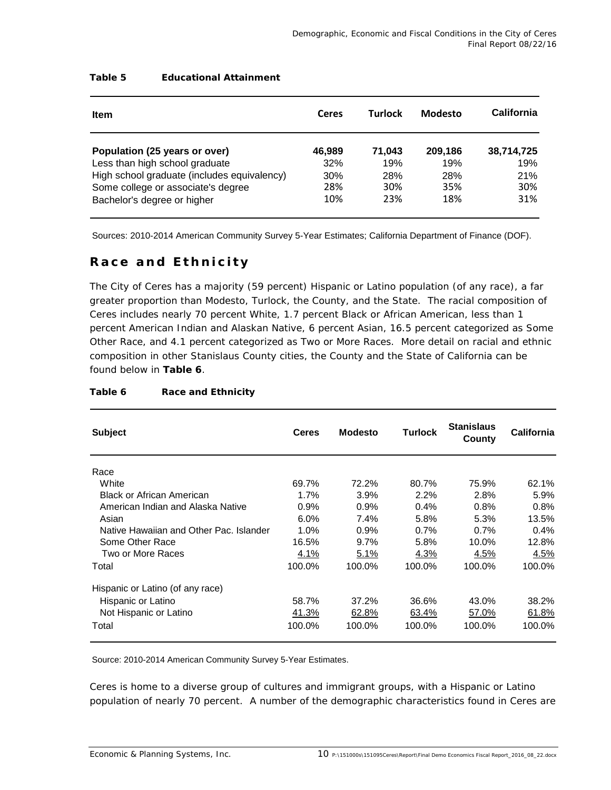| Item                                        | Ceres  | Turlock | Modesto | California |
|---------------------------------------------|--------|---------|---------|------------|
| Population (25 years or over)               | 46.989 | 71.043  | 209.186 | 38,714,725 |
| Less than high school graduate              | 32%    | 19%     | 19%     | 19%        |
| High school graduate (includes equivalency) | 30%    | 28%     | 28%     | 21%        |
| Some college or associate's degree          | 28%    | 30%     | 35%     | 30%        |
| Bachelor's degree or higher                 | 10%    | 23%     | 18%     | 31%        |

### **Table 5 Educational Attainment**

Sources: 2010-2014 American Community Survey 5-Year Estimates; California Department of Finance (DOF).

### **Race and Ethnicity**

The City of Ceres has a majority (59 percent) Hispanic or Latino population (of any race), a far greater proportion than Modesto, Turlock, the County, and the State. The racial composition of Ceres includes nearly 70 percent White, 1.7 percent Black or African American, less than 1 percent American Indian and Alaskan Native, 6 percent Asian, 16.5 percent categorized as Some Other Race, and 4.1 percent categorized as Two or More Races. More detail on racial and ethnic composition in other Stanislaus County cities, the County and the State of California can be found below in **Table 6**.

| <b>Subject</b>                          | <b>Ceres</b> | <b>Modesto</b> | <b>Turlock</b> | <b>Stanislaus</b><br>County | <b>California</b> |
|-----------------------------------------|--------------|----------------|----------------|-----------------------------|-------------------|
| Race                                    |              |                |                |                             |                   |
| White                                   | 69.7%        | 72.2%          | 80.7%          | 75.9%                       | 62.1%             |
| Black or African American               | 1.7%         | 3.9%           | 2.2%           | 2.8%                        | 5.9%              |
| American Indian and Alaska Native       | 0.9%         | 0.9%           | $0.4\%$        | 0.8%                        | 0.8%              |
| Asian                                   | 6.0%         | 7.4%           | 5.8%           | 5.3%                        | 13.5%             |
| Native Hawaiian and Other Pac. Islander | 1.0%         | 0.9%           | 0.7%           | $0.7\%$                     | $0.4\%$           |
| Some Other Race                         | 16.5%        | 9.7%           | 5.8%           | 10.0%                       | 12.8%             |
| Two or More Races                       | 4.1%         | 5.1%           | 4.3%           | 4.5%                        | <u>4.5%</u>       |
| Total                                   | 100.0%       | 100.0%         | 100.0%         | 100.0%                      | 100.0%            |
| Hispanic or Latino (of any race)        |              |                |                |                             |                   |
| Hispanic or Latino                      | 58.7%        | 37.2%          | 36.6%          | 43.0%                       | 38.2%             |
| Not Hispanic or Latino                  | 41.3%        | 62.8%          | 63.4%          | 57.0%                       | 61.8%             |
| Total                                   | 100.0%       | 100.0%         | 100.0%         | 100.0%                      | 100.0%            |

### **Table 6 Race and Ethnicity**

Source: 2010-2014 American Community Survey 5-Year Estimates.

Ceres is home to a diverse group of cultures and immigrant groups, with a Hispanic or Latino population of nearly 70 percent. A number of the demographic characteristics found in Ceres are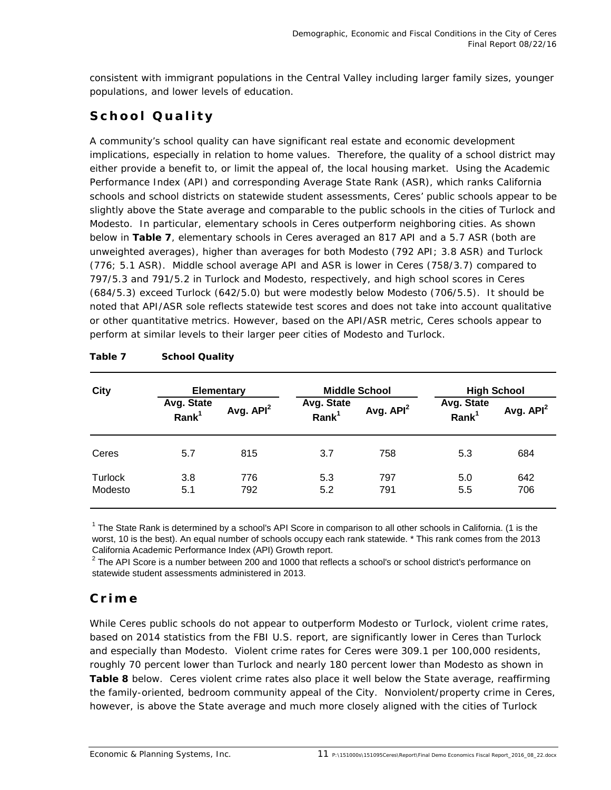consistent with immigrant populations in the Central Valley including larger family sizes, younger populations, and lower levels of education.

# **School Quality**

A community's school quality can have significant real estate and economic development implications, especially in relation to home values. Therefore, the quality of a school district may either provide a benefit to, or limit the appeal of, the local housing market. Using the Academic Performance Index (API) and corresponding Average State Rank (ASR), which ranks California schools and school districts on statewide student assessments, Ceres' public schools appear to be slightly above the State average and comparable to the public schools in the cities of Turlock and Modesto. In particular, elementary schools in Ceres outperform neighboring cities. As shown below in **Table 7**, elementary schools in Ceres averaged an 817 API and a 5.7 ASR (both are unweighted averages), higher than averages for both Modesto (792 API; 3.8 ASR) and Turlock (776; 5.1 ASR). Middle school average API and ASR is lower in Ceres (758/3.7) compared to 797/5.3 and 791/5.2 in Turlock and Modesto, respectively, and high school scores in Ceres (684/5.3) exceed Turlock (642/5.0) but were modestly below Modesto (706/5.5). It should be noted that API/ASR sole reflects statewide test scores and does not take into account qualitative or other quantitative metrics. However, based on the API/ASR metric, Ceres schools appear to perform at similar levels to their larger peer cities of Modesto and Turlock.

| <b>City</b>        | <b>Elementary</b>      |                       | <b>Middle School</b>   |                       | <b>High School</b>                 |             |
|--------------------|------------------------|-----------------------|------------------------|-----------------------|------------------------------------|-------------|
|                    | Avg. State<br>$Rank^1$ | Avg. API <sup>2</sup> | Avg. State<br>$Rank^1$ | Avg. API <sup>2</sup> | Avg. State<br>$R$ ank <sup>1</sup> | Avg. $API2$ |
| Ceres              | 5.7                    | 815                   | 3.7                    | 758                   | 5.3                                | 684         |
| Turlock<br>Modesto | 3.8<br>5.1             | 776<br>792            | 5.3<br>5.2             | 797<br>791            | 5.0<br>5.5                         | 642<br>706  |

### **Table 7 School Quality**

<sup>1</sup> The State Rank is determined by a school's API Score in comparison to all other schools in California. (1 is the worst, 10 is the best). An equal number of schools occupy each rank statewide. \* This rank comes from the 2013 California Academic Performance Index (API) Growth report.

 $^2$  The API Score is a number between 200 and 1000 that reflects a school's or school district's performance on statewide student assessments administered in 2013.

### **Crime**

While Ceres public schools do not appear to outperform Modesto or Turlock, violent crime rates, based on 2014 statistics from the FBI U.S. report, are significantly lower in Ceres than Turlock and especially than Modesto. Violent crime rates for Ceres were 309.1 per 100,000 residents, roughly 70 percent lower than Turlock and nearly 180 percent lower than Modesto as shown in **Table 8** below. Ceres violent crime rates also place it well below the State average, reaffirming the family-oriented, bedroom community appeal of the City. Nonviolent/property crime in Ceres, however, is above the State average and much more closely aligned with the cities of Turlock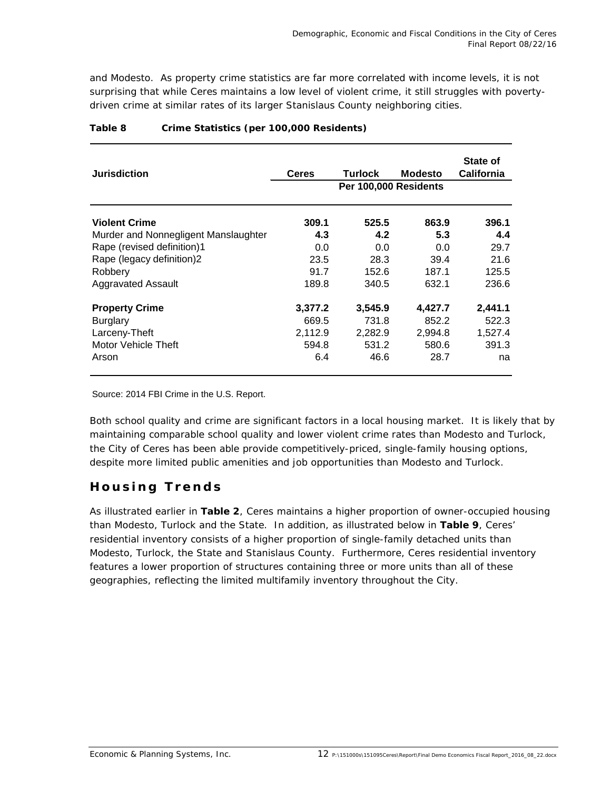and Modesto. As property crime statistics are far more correlated with income levels, it is not surprising that while Ceres maintains a low level of violent crime, it still struggles with povertydriven crime at similar rates of its larger Stanislaus County neighboring cities.

| <b>Jurisdiction</b>                  | <b>Ceres</b> | Turlock<br>Per 100,000 Residents | Modesto | State of<br><b>California</b> |
|--------------------------------------|--------------|----------------------------------|---------|-------------------------------|
| <b>Violent Crime</b>                 | 309.1        | 525.5                            | 863.9   | 396.1                         |
| Murder and Nonnegligent Manslaughter | 4.3          | 4.2                              | 5.3     | 4.4                           |
| Rape (revised definition)1           | 0.0          | 0.0                              | 0.0     | 29.7                          |
| Rape (legacy definition)2            | 23.5         | 28.3                             | 39.4    | 21.6                          |
| Robbery                              | 91.7         | 152.6                            | 187.1   | 125.5                         |
| <b>Aggravated Assault</b>            | 189.8        | 340.5                            | 632.1   | 236.6                         |
| <b>Property Crime</b>                | 3,377.2      | 3,545.9                          | 4,427.7 | 2,441.1                       |
| <b>Burglary</b>                      | 669.5        | 731.8                            | 852.2   | 522.3                         |
| Larceny-Theft                        | 2,112.9      | 2,282.9                          | 2.994.8 | 1,527.4                       |
| Motor Vehicle Theft                  | 594.8        | 531.2                            | 580.6   | 391.3                         |
| Arson                                | 6.4          | 46.6                             | 28.7    | na                            |

### **Table 8 Crime Statistics (per 100,000 Residents)**

Source: 2014 FBI Crime in the U.S. Report.

Both school quality and crime are significant factors in a local housing market. It is likely that by maintaining comparable school quality and lower violent crime rates than Modesto and Turlock, the City of Ceres has been able provide competitively-priced, single-family housing options, despite more limited public amenities and job opportunities than Modesto and Turlock.

### **Housing Trends**

As illustrated earlier in **Table 2**, Ceres maintains a higher proportion of owner-occupied housing than Modesto, Turlock and the State. In addition, as illustrated below in **Table 9**, Ceres' residential inventory consists of a higher proportion of single-family detached units than Modesto, Turlock, the State and Stanislaus County. Furthermore, Ceres residential inventory features a lower proportion of structures containing three or more units than all of these geographies, reflecting the limited multifamily inventory throughout the City.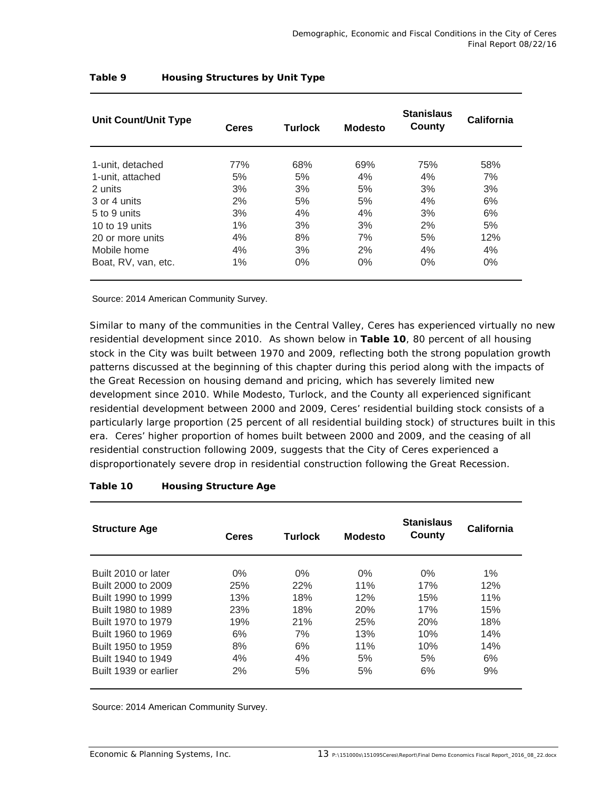| <b>Unit Count/Unit Type</b> | <b>Ceres</b> | <b>Turlock</b> | <b>Modesto</b> |       | California |  |
|-----------------------------|--------------|----------------|----------------|-------|------------|--|
| 1-unit, detached            | 77%          | 68%            | 69%            | 75%   | 58%        |  |
| 1-unit, attached            | 5%           | 5%             | 4%             | 4%    | 7%         |  |
| 2 units                     | 3%           | 3%             | 5%             | 3%    | 3%         |  |
| 3 or 4 units                | 2%           | 5%             | 5%             | 4%    | 6%         |  |
| 5 to 9 units                | 3%           | 4%             | 4%             | 3%    | 6%         |  |
| 10 to 19 units              | $1\%$        | 3%             | 3%             | 2%    | 5%         |  |
| 20 or more units            | 4%           | 8%             | 7%             | 5%    | 12%        |  |
| Mobile home                 | 4%           | 3%             | 2%             | 4%    | 4%         |  |
| Boat, RV, van, etc.         | $1\%$        | $0\%$          | $0\%$          | $0\%$ | $0\%$      |  |

### **Table 9 Housing Structures by Unit Type**

Source: 2014 American Community Survey.

Similar to many of the communities in the Central Valley, Ceres has experienced virtually no new residential development since 2010. As shown below in **Table 10**, 80 percent of all housing stock in the City was built between 1970 and 2009, reflecting both the strong population growth patterns discussed at the beginning of this chapter during this period along with the impacts of the Great Recession on housing demand and pricing, which has severely limited new development since 2010. While Modesto, Turlock, and the County all experienced significant residential development between 2000 and 2009, Ceres' residential building stock consists of a particularly large proportion (25 percent of all residential building stock) of structures built in this era. Ceres' higher proportion of homes built between 2000 and 2009, and the ceasing of all residential construction following 2009, suggests that the City of Ceres experienced a disproportionately severe drop in residential construction following the Great Recession.

| <b>Structure Age</b>  | Ceres |       | <b>Turlock</b><br><b>Modesto</b> |       | California |
|-----------------------|-------|-------|----------------------------------|-------|------------|
| Built 2010 or later   | $0\%$ | $0\%$ | $0\%$                            | $0\%$ | $1\%$      |
| Built 2000 to 2009    | 25%   | 22%   | 11%                              | 17%   | 12%        |
| Built 1990 to 1999    | 13%   | 18%   | 12%                              | 15%   | 11%        |
| Built 1980 to 1989    | 23%   | 18%   | 20%                              | 17%   | 15%        |
| Built 1970 to 1979    | 19%   | 21%   | 25%                              | 20%   | 18%        |
| Built 1960 to 1969    | 6%    | 7%    | 13%                              | 10%   | 14%        |
| Built 1950 to 1959    | 8%    | 6%    | 11%                              | 10%   | 14%        |
| Built 1940 to 1949    | 4%    | 4%    | 5%                               | 5%    | 6%         |
| Built 1939 or earlier | 2%    | 5%    | 5%                               | 6%    | 9%         |

#### **Table 10 Housing Structure Age**

Source: 2014 American Community Survey.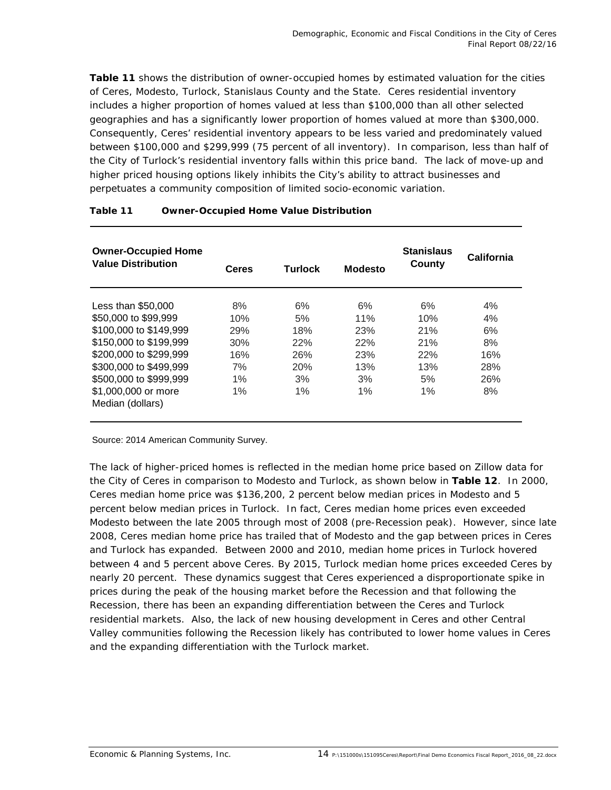**Table 11** shows the distribution of owner-occupied homes by estimated valuation for the cities of Ceres, Modesto, Turlock, Stanislaus County and the State. Ceres residential inventory includes a higher proportion of homes valued at less than \$100,000 than all other selected geographies and has a significantly lower proportion of homes valued at more than \$300,000. Consequently, Ceres' residential inventory appears to be less varied and predominately valued between \$100,000 and \$299,999 (75 percent of all inventory). In comparison, less than half of the City of Turlock's residential inventory falls within this price band. The lack of move-up and higher priced housing options likely inhibits the City's ability to attract businesses and perpetuates a community composition of limited socio-economic variation.

| <b>Owner-Occupied Home</b><br><b>Value Distribution</b> | <b>Turlock</b><br>Ceres |     | Modesto | <b>Stanislaus</b><br>County | California |  |
|---------------------------------------------------------|-------------------------|-----|---------|-----------------------------|------------|--|
| Less than \$50,000                                      | 8%                      | 6%  | 6%      | 6%                          | 4%         |  |
| \$50,000 to \$99,999                                    | 10%                     | 5%  | 11%     | 10%                         | 4%         |  |
| \$100,000 to \$149,999                                  | <b>29%</b>              | 18% | 23%     | 21%                         | 6%         |  |
| \$150,000 to \$199,999                                  | 30%                     | 22% | 22%     | 21%                         | 8%         |  |
| \$200,000 to \$299,999                                  | 16%                     | 26% | 23%     | 22%                         | 16%        |  |
| \$300,000 to \$499,999                                  | 7%                      | 20% | 13%     | 13%                         | 28%        |  |
| \$500,000 to \$999,999                                  | 1%                      | 3%  | 3%      | 5%                          | 26%        |  |
| \$1,000,000 or more                                     | 1%                      | 1%  | 1%      | $1\%$                       | 8%         |  |
| Median (dollars)                                        |                         |     |         |                             |            |  |

#### **Table 11 Owner-Occupied Home Value Distribution**

Source: 2014 American Community Survey.

The lack of higher-priced homes is reflected in the median home price based on Zillow data for the City of Ceres in comparison to Modesto and Turlock, as shown below in **Table 12**. In 2000, Ceres median home price was \$136,200, 2 percent below median prices in Modesto and 5 percent below median prices in Turlock. In fact, Ceres median home prices even exceeded Modesto between the late 2005 through most of 2008 (pre-Recession peak). However, since late 2008, Ceres median home price has trailed that of Modesto and the gap between prices in Ceres and Turlock has expanded. Between 2000 and 2010, median home prices in Turlock hovered between 4 and 5 percent above Ceres. By 2015, Turlock median home prices exceeded Ceres by nearly 20 percent. These dynamics suggest that Ceres experienced a disproportionate spike in prices during the peak of the housing market before the Recession and that following the Recession, there has been an expanding differentiation between the Ceres and Turlock residential markets. Also, the lack of new housing development in Ceres and other Central Valley communities following the Recession likely has contributed to lower home values in Ceres and the expanding differentiation with the Turlock market.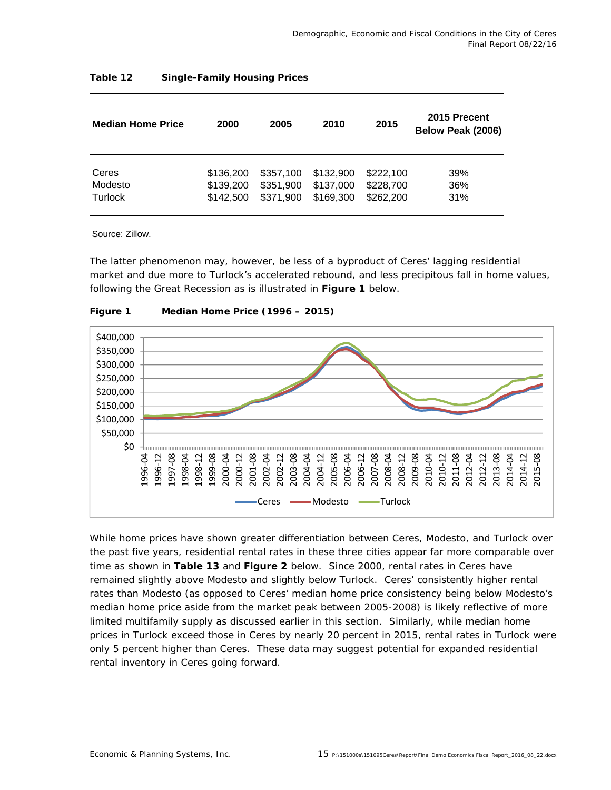| <b>Median Home Price</b> | 2000      | 2005      | 2010      | 2015      | 2015 Precent<br>Below Peak (2006) |
|--------------------------|-----------|-----------|-----------|-----------|-----------------------------------|
| Ceres                    | \$136,200 | \$357,100 | \$132,900 | \$222,100 | 39%                               |
| Modesto                  | \$139,200 | \$351,900 | \$137,000 | \$228,700 | 36%                               |
| Turlock                  | \$142,500 | \$371,900 | \$169,300 | \$262,200 | 31%                               |

### **Table 12 Single-Family Housing Prices**

Source: Zillow.

The latter phenomenon may, however, be less of a byproduct of Ceres' lagging residential market and due more to Turlock's accelerated rebound, and less precipitous fall in home values, following the Great Recession as is illustrated in **Figure 1** below.





While home prices have shown greater differentiation between Ceres, Modesto, and Turlock over the past five years, residential rental rates in these three cities appear far more comparable over time as shown in **Table 13** and **Figure 2** below. Since 2000, rental rates in Ceres have remained slightly above Modesto and slightly below Turlock. Ceres' consistently higher rental rates than Modesto (as opposed to Ceres' median home price consistency being below Modesto's median home price aside from the market peak between 2005-2008) is likely reflective of more limited multifamily supply as discussed earlier in this section. Similarly, while median home prices in Turlock exceed those in Ceres by nearly 20 percent in 2015, rental rates in Turlock were only 5 percent higher than Ceres. These data may suggest potential for expanded residential rental inventory in Ceres going forward.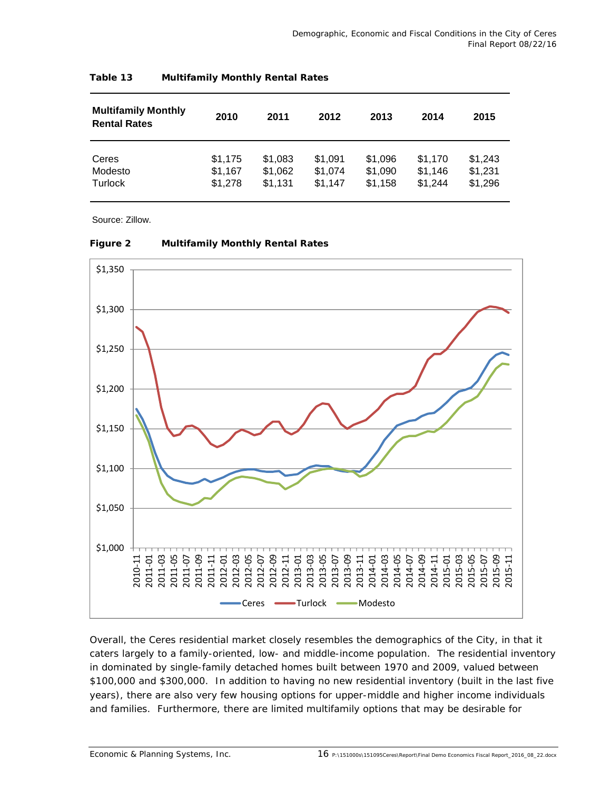| <b>Multifamily Monthly</b><br><b>Rental Rates</b> | 2010    | 2011    | 2012    | 2013    | 2014    | 2015    |
|---------------------------------------------------|---------|---------|---------|---------|---------|---------|
| Ceres                                             | \$1,175 | \$1,083 | \$1.091 | \$1,096 | \$1.170 | \$1,243 |
| Modesto                                           | \$1,167 | \$1,062 | \$1,074 | \$1,090 | \$1.146 | \$1,231 |
| Turlock                                           | \$1,278 | \$1,131 | \$1.147 | \$1,158 | \$1,244 | \$1,296 |

### **Table 13 Multifamily Monthly Rental Rates**

Source: Zillow.

| Figure 2 | <b>Multifamily Monthly Rental Rates</b> |  |  |
|----------|-----------------------------------------|--|--|



Overall, the Ceres residential market closely resembles the demographics of the City, in that it caters largely to a family-oriented, low- and middle-income population. The residential inventory in dominated by single-family detached homes built between 1970 and 2009, valued between \$100,000 and \$300,000. In addition to having no new residential inventory (built in the last five years), there are also very few housing options for upper-middle and higher income individuals and families. Furthermore, there are limited multifamily options that may be desirable for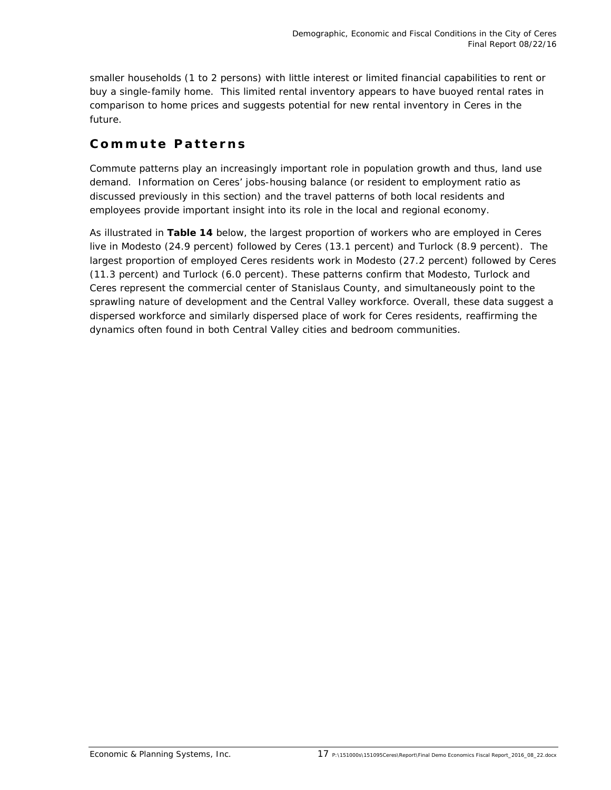smaller households (1 to 2 persons) with little interest or limited financial capabilities to rent or buy a single-family home. This limited rental inventory appears to have buoyed rental rates in comparison to home prices and suggests potential for new rental inventory in Ceres in the future.

### **Commute Patterns**

Commute patterns play an increasingly important role in population growth and thus, land use demand. Information on Ceres' jobs-housing balance (or resident to employment ratio as discussed previously in this section) and the travel patterns of both local residents and employees provide important insight into its role in the local and regional economy.

As illustrated in **Table 14** below, the largest proportion of workers who are employed in Ceres live in Modesto (24.9 percent) followed by Ceres (13.1 percent) and Turlock (8.9 percent). The largest proportion of employed Ceres residents work in Modesto (27.2 percent) followed by Ceres (11.3 percent) and Turlock (6.0 percent). These patterns confirm that Modesto, Turlock and Ceres represent the commercial center of Stanislaus County, and simultaneously point to the sprawling nature of development and the Central Valley workforce. Overall, these data suggest a dispersed workforce and similarly dispersed place of work for Ceres residents, reaffirming the dynamics often found in both Central Valley cities and bedroom communities.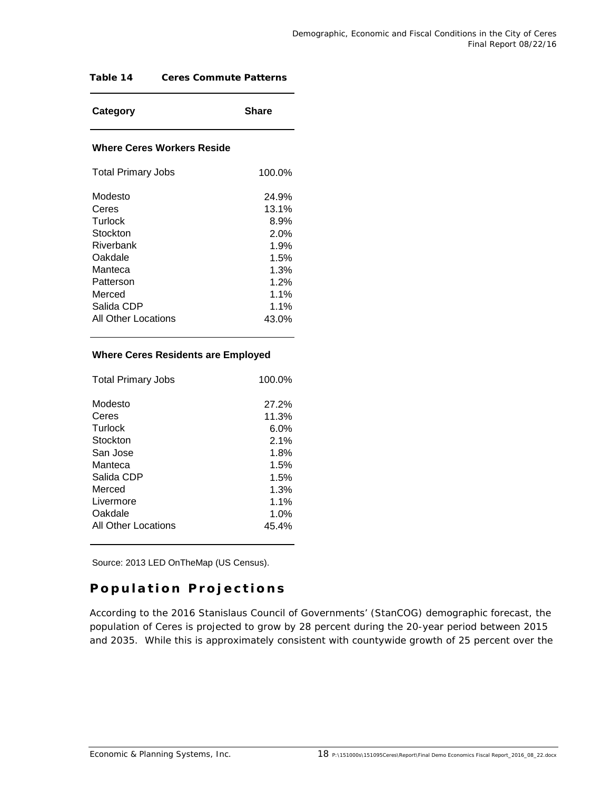### **Table 14 Ceres Commute Patterns**

| Category | <b>Share</b> |
|----------|--------------|
|----------|--------------|

#### **Where Ceres Workers Reside**

| <b>Total Primary Jobs</b> | 100.0% |
|---------------------------|--------|
| Modesto                   | 24.9%  |
| Ceres                     | 13.1%  |
| Turlock                   | 8.9%   |
| Stockton                  | 2.0%   |
| Riverbank                 | 1.9%   |
| Oakdale                   | 1.5%   |
| Manteca                   | 1.3%   |
| Patterson                 | 1.2%   |
| Merced                    | 1.1%   |
| Salida CDP                | 1.1%   |
| All Other Locations       | 43.0%  |
|                           |        |

#### **Where Ceres Residents are Employed**

| <b>Total Primary Jobs</b> | 100.0%  |
|---------------------------|---------|
| Modesto                   | 27.2%   |
| Ceres                     | 11.3%   |
| Turlock                   | $6.0\%$ |
| Stockton                  | 2.1%    |
| San Jose                  | 1.8%    |
| Manteca                   | 1.5%    |
| Salida CDP                | 1.5%    |
| Merced                    | 1.3%    |
| Livermore                 | 1.1%    |
| Oakdale                   | 1.0%    |
| All Other Locations       | 45.4%   |

Source: 2013 LED OnTheMap (US Census).

### **Population Projections**

According to the 2016 Stanislaus Council of Governments' (StanCOG) demographic forecast, the population of Ceres is projected to grow by 28 percent during the 20-year period between 2015 and 2035. While this is approximately consistent with countywide growth of 25 percent over the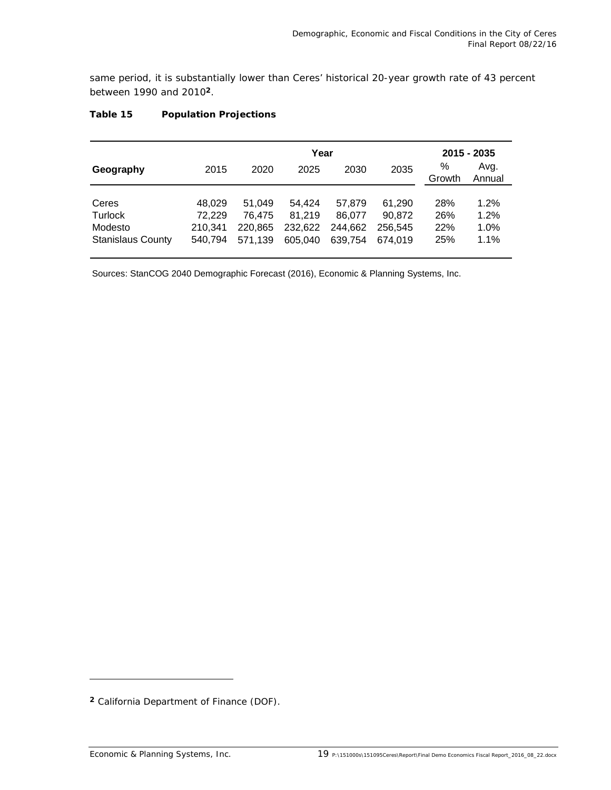same period, it is substantially lower than Ceres' historical 20-year growth rate of 43 percent between 1990 and 2010**2**.

|                             |                             |                             | 2015 - 2035                 |                             |                   |                              |
|-----------------------------|-----------------------------|-----------------------------|-----------------------------|-----------------------------|-------------------|------------------------------|
| 2015                        | 2020                        | 2025                        | 2030                        | 2035                        | %<br>Growth       | Avg.<br>Annual               |
| 48.029<br>72,229<br>210.341 | 51.049<br>76,475<br>220.865 | 54.424<br>81.219<br>232,622 | 57.879<br>86,077<br>244.662 | 61.290<br>90,872<br>256.545 | 28%<br>26%<br>22% | 1.2%<br>1.2%<br>1.0%<br>1.1% |
|                             | 540,794                     | 571.139                     | 605.040                     | Year<br>639.754             | 674.019           | 25%                          |

### **Table 15 Population Projections**

Sources: StanCOG 2040 Demographic Forecast (2016), Economic & Planning Systems, Inc.

-

**<sup>2</sup>** California Department of Finance (DOF).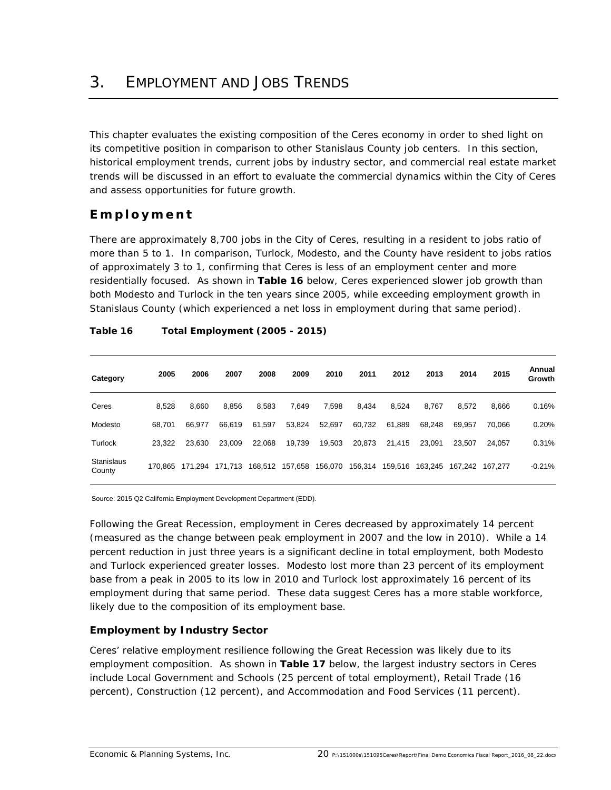This chapter evaluates the existing composition of the Ceres economy in order to shed light on its competitive position in comparison to other Stanislaus County job centers. In this section, historical employment trends, current jobs by industry sector, and commercial real estate market trends will be discussed in an effort to evaluate the commercial dynamics within the City of Ceres and assess opportunities for future growth.

# **Employment**

There are approximately 8,700 jobs in the City of Ceres, resulting in a resident to jobs ratio of more than 5 to 1. In comparison, Turlock, Modesto, and the County have resident to jobs ratios of approximately 3 to 1, confirming that Ceres is less of an employment center and more residentially focused. As shown in **Table 16** below, Ceres experienced slower job growth than both Modesto and Turlock in the ten years since 2005, while exceeding employment growth in Stanislaus County (which experienced a net loss in employment during that same period).

| Category                    | 2005    | 2006    | 2007    | 2008    | 2009    | 2010    | 2011    | 2012    | 2013    | 2014    | 2015    | Annual<br>Growth |
|-----------------------------|---------|---------|---------|---------|---------|---------|---------|---------|---------|---------|---------|------------------|
| Ceres                       | 8,528   | 8,660   | 8,856   | 8,583   | 7,649   | 7,598   | 8,434   | 8,524   | 8,767   | 8,572   | 8,666   | 0.16%            |
| Modesto                     | 68.701  | 66.977  | 66.619  | 61,597  | 53,824  | 52,697  | 60,732  | 61,889  | 68.248  | 69.957  | 70.066  | 0.20%            |
| Turlock                     | 23.322  | 23.630  | 23,009  | 22.068  | 19,739  | 19,503  | 20,873  | 21.415  | 23.091  | 23.507  | 24.057  | 0.31%            |
| <b>Stanislaus</b><br>County | 170.865 | 171.294 | 171,713 | 168,512 | 157,658 | 156,070 | 156,314 | 159,516 | 163,245 | 167.242 | 167.277 | $-0.21%$         |

### **Table 16 Total Employment (2005 - 2015)**

Source: 2015 Q2 California Employment Development Department (EDD).

Following the Great Recession, employment in Ceres decreased by approximately 14 percent (measured as the change between peak employment in 2007 and the low in 2010). While a 14 percent reduction in just three years is a significant decline in total employment, both Modesto and Turlock experienced greater losses. Modesto lost more than 23 percent of its employment base from a peak in 2005 to its low in 2010 and Turlock lost approximately 16 percent of its employment during that same period. These data suggest Ceres has a more stable workforce, likely due to the composition of its employment base.

### **Employment by Industry Sector**

Ceres' relative employment resilience following the Great Recession was likely due to its employment composition. As shown in **Table 17** below, the largest industry sectors in Ceres include Local Government and Schools (25 percent of total employment), Retail Trade (16 percent), Construction (12 percent), and Accommodation and Food Services (11 percent).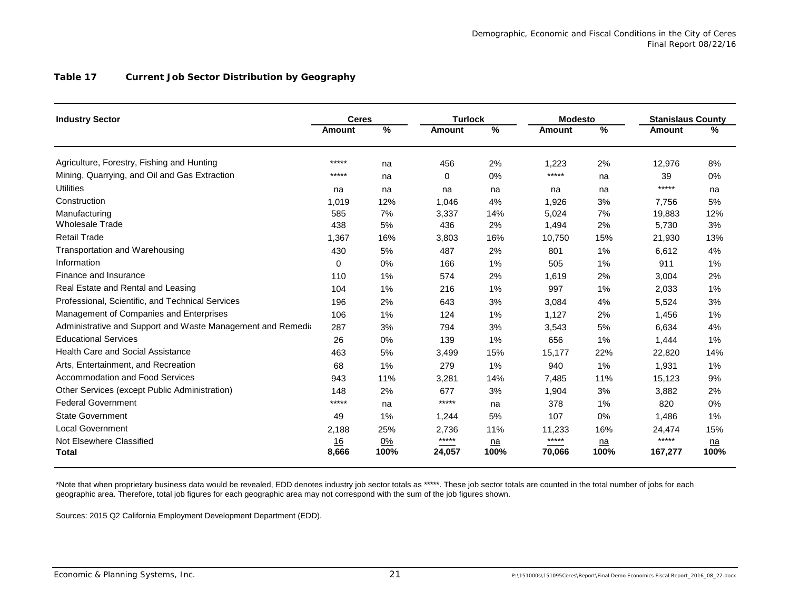#### **Table 17 Current Job Sector Distribution by Geography**

| <b>Industry Sector</b>                                      | <b>Ceres</b>  |            | <b>Turlock</b>  |                    | <b>Modesto</b>   |               | <b>Stanislaus County</b> |                    |
|-------------------------------------------------------------|---------------|------------|-----------------|--------------------|------------------|---------------|--------------------------|--------------------|
|                                                             | <b>Amount</b> | %          | <b>Amount</b>   | %                  | <b>Amount</b>    | $\frac{9}{6}$ | <b>Amount</b>            | %                  |
| Agriculture, Forestry, Fishing and Hunting                  | *****         | na         | 456             | 2%                 | 1,223            | 2%            | 12,976                   | 8%                 |
| Mining, Quarrying, and Oil and Gas Extraction               | *****         | na         | $\Omega$        | 0%                 | *****            | na            | 39                       | 0%                 |
| <b>Utilities</b>                                            | na            | na         | na              | na                 | na               | na            | *****                    | na                 |
| Construction                                                | 1,019         | 12%        | 1.046           | 4%                 | 1.926            | 3%            | 7.756                    | 5%                 |
| Manufacturing                                               | 585           | 7%         | 3,337           | 14%                | 5,024            | 7%            | 19,883                   | 12%                |
| <b>Wholesale Trade</b>                                      | 438           | 5%         | 436             | 2%                 | 1,494            | 2%            | 5,730                    | 3%                 |
| <b>Retail Trade</b>                                         | 1,367         | 16%        | 3,803           | 16%                | 10,750           | 15%           | 21,930                   | 13%                |
| Transportation and Warehousing                              | 430           | 5%         | 487             | 2%                 | 801              | 1%            | 6.612                    | 4%                 |
| Information                                                 | 0             | 0%         | 166             | 1%                 | 505              | 1%            | 911                      | 1%                 |
| Finance and Insurance                                       | 110           | 1%         | 574             | 2%                 | 1,619            | 2%            | 3,004                    | 2%                 |
| Real Estate and Rental and Leasing                          | 104           | 1%         | 216             | 1%                 | 997              | 1%            | 2,033                    | 1%                 |
| Professional, Scientific, and Technical Services            | 196           | 2%         | 643             | 3%                 | 3,084            | 4%            | 5.524                    | 3%                 |
| Management of Companies and Enterprises                     | 106           | 1%         | 124             | 1%                 | 1,127            | 2%            | 1,456                    | 1%                 |
| Administrative and Support and Waste Management and Remedia | 287           | 3%         | 794             | 3%                 | 3,543            | 5%            | 6,634                    | 4%                 |
| <b>Educational Services</b>                                 | 26            | 0%         | 139             | 1%                 | 656              | 1%            | 1,444                    | 1%                 |
| <b>Health Care and Social Assistance</b>                    | 463           | 5%         | 3,499           | 15%                | 15,177           | 22%           | 22,820                   | 14%                |
| Arts, Entertainment, and Recreation                         | 68            | 1%         | 279             | 1%                 | 940              | 1%            | 1,931                    | 1%                 |
| Accommodation and Food Services                             | 943           | 11%        | 3,281           | 14%                | 7,485            | 11%           | 15,123                   | 9%                 |
| Other Services (except Public Administration)               | 148           | 2%         | 677             | 3%                 | 1,904            | 3%            | 3,882                    | 2%                 |
| <b>Federal Government</b>                                   | *****         | na         | *****           | na                 | 378              | 1%            | 820                      | 0%                 |
| <b>State Government</b>                                     | 49            | 1%         | 1,244           | 5%                 | 107              | 0%            | 1.486                    | 1%                 |
| <b>Local Government</b>                                     | 2,188         | 25%        | 2,736           | 11%                | 11,233           | 16%           | 24,474                   | 15%                |
| Not Elsewhere Classified<br><b>Total</b>                    | 16<br>8,666   | 0%<br>100% | *****<br>24,057 | n <b>a</b><br>100% | $****$<br>70,066 | $n =$<br>100% | *****<br>167,277         | n <b>a</b><br>100% |

\*Note that when proprietary business data would be revealed, EDD denotes industry job sector totals as \*\*\*\*\*. These job sector totals are counted in the total number of jobs for each geographic area. Therefore, total job figures for each geographic area may not correspond with the sum of the job figures shown.

Sources: 2015 Q2 California Employment Development Department (EDD).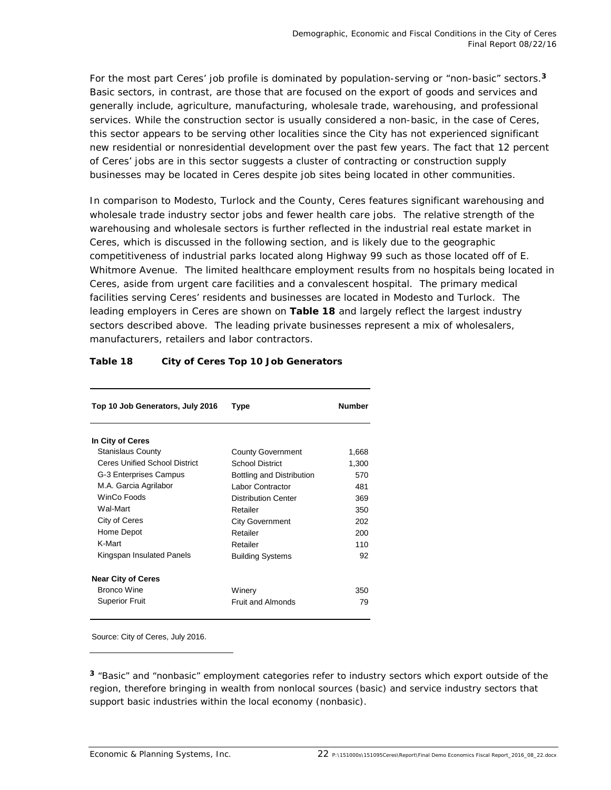For the most part Ceres' job profile is dominated by population-serving or "non-basic" sectors.**<sup>3</sup>** Basic sectors, in contrast, are those that are focused on the export of goods and services and generally include, agriculture, manufacturing, wholesale trade, warehousing, and professional services. While the construction sector is usually considered a non-basic, in the case of Ceres, this sector appears to be serving other localities since the City has not experienced significant new residential or nonresidential development over the past few years. The fact that 12 percent of Ceres' jobs are in this sector suggests a cluster of contracting or construction supply businesses may be located in Ceres despite job sites being located in other communities.

In comparison to Modesto, Turlock and the County, Ceres features significant warehousing and wholesale trade industry sector jobs and fewer health care jobs. The relative strength of the warehousing and wholesale sectors is further reflected in the industrial real estate market in Ceres, which is discussed in the following section, and is likely due to the geographic competitiveness of industrial parks located along Highway 99 such as those located off of E. Whitmore Avenue. The limited healthcare employment results from no hospitals being located in Ceres, aside from urgent care facilities and a convalescent hospital. The primary medical facilities serving Ceres' residents and businesses are located in Modesto and Turlock. The leading employers in Ceres are shown on **Table 18** and largely reflect the largest industry sectors described above. The leading private businesses represent a mix of wholesalers, manufacturers, retailers and labor contractors.

| Top 10 Job Generators, July 2016 | Type                       | <b>Number</b> |
|----------------------------------|----------------------------|---------------|
| In City of Ceres                 |                            |               |
| <b>Stanislaus County</b>         | <b>County Government</b>   | 1,668         |
| Ceres Unified School District    | School District            | 1,300         |
| G-3 Enterprises Campus           | Bottling and Distribution  | 570           |
| M.A. Garcia Agrilabor            | Labor Contractor           | 481           |
| WinCo Foods                      | <b>Distribution Center</b> | 369           |
| Wal-Mart                         | Retailer                   | 350           |
| City of Ceres                    | <b>City Government</b>     | 202           |
| Home Depot                       | Retailer                   | 200           |
| K-Mart                           | Retailer                   | 110           |
| Kingspan Insulated Panels        | <b>Building Systems</b>    | 92            |
| <b>Near City of Ceres</b>        |                            |               |
| Bronco Wine                      | Winery                     | 350           |
| <b>Superior Fruit</b>            | <b>Fruit and Almonds</b>   | 79            |

### **Table 18 City of Ceres Top 10 Job Generators**

Source: City of Ceres, July 2016.

-

**<sup>3</sup>** "Basic" and "nonbasic" employment categories refer to industry sectors which export outside of the region, therefore bringing in wealth from nonlocal sources (basic) and service industry sectors that support basic industries within the local economy (nonbasic).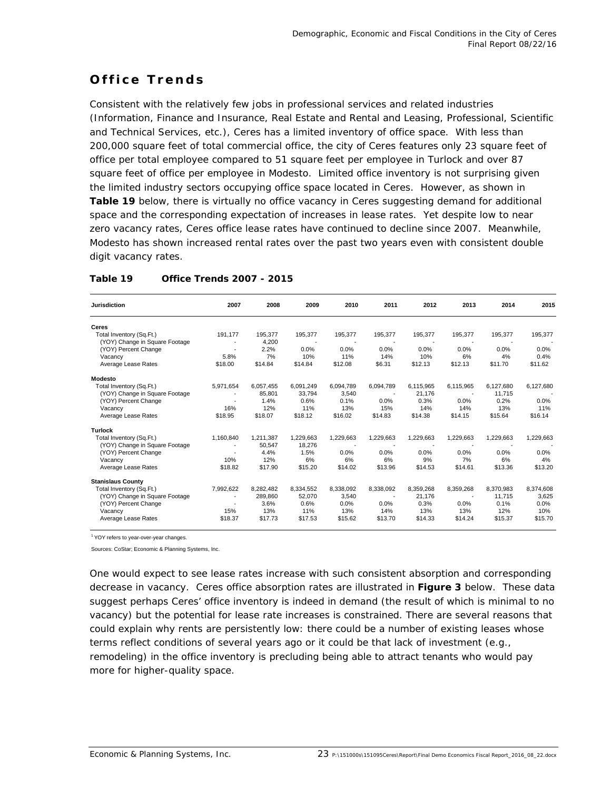# **Office Trends**

Consistent with the relatively few jobs in professional services and related industries (Information, Finance and Insurance, Real Estate and Rental and Leasing, Professional, Scientific and Technical Services, etc.), Ceres has a limited inventory of office space. With less than 200,000 square feet of total commercial office, the city of Ceres features only 23 square feet of office per total employee compared to 51 square feet per employee in Turlock and over 87 square feet of office per employee in Modesto. Limited office inventory is not surprising given the limited industry sectors occupying office space located in Ceres. However, as shown in **Table 19** below, there is virtually no office vacancy in Ceres suggesting demand for additional space and the corresponding expectation of increases in lease rates. Yet despite low to near zero vacancy rates, Ceres office lease rates have continued to decline since 2007. Meanwhile, Modesto has shown increased rental rates over the past two years even with consistent double digit vacancy rates.

| <b>Jurisdiction</b>            | 2007                     | 2008      | 2009      | 2010      | 2011      | 2012      | 2013      | 2014      | 2015      |
|--------------------------------|--------------------------|-----------|-----------|-----------|-----------|-----------|-----------|-----------|-----------|
| Ceres                          |                          |           |           |           |           |           |           |           |           |
| Total Inventory (Sq.Ft.)       | 191,177                  | 195,377   | 195,377   | 195,377   | 195,377   | 195,377   | 195,377   | 195,377   | 195,377   |
| (YOY) Change in Square Footage |                          | 4,200     |           |           |           |           |           |           |           |
| (YOY) Percent Change           |                          | 2.2%      | 0.0%      | 0.0%      | 0.0%      | 0.0%      | 0.0%      | 0.0%      | 0.0%      |
| Vacancy                        | 5.8%                     | 7%        | 10%       | 11%       | 14%       | 10%       | 6%        | 4%        | 0.4%      |
| Average Lease Rates            | \$18.00                  | \$14.84   | \$14.84   | \$12.08   | \$6.31    | \$12.13   | \$12.13   | \$11.70   | \$11.62   |
| <b>Modesto</b>                 |                          |           |           |           |           |           |           |           |           |
| Total Inventory (Sq.Ft.)       | 5,971,654                | 6,057,455 | 6,091,249 | 6,094,789 | 6,094,789 | 6,115,965 | 6,115,965 | 6,127,680 | 6,127,680 |
| (YOY) Change in Square Footage |                          | 85.801    | 33.794    | 3.540     |           | 21,176    |           | 11.715    |           |
| (YOY) Percent Change           | $\overline{\phantom{a}}$ | 1.4%      | 0.6%      | 0.1%      | 0.0%      | 0.3%      | 0.0%      | 0.2%      | 0.0%      |
| Vacancv                        | 16%                      | 12%       | 11%       | 13%       | 15%       | 14%       | 14%       | 13%       | 11%       |
| Average Lease Rates            | \$18.95                  | \$18.07   | \$18.12   | \$16.02   | \$14.83   | \$14.38   | \$14.15   | \$15.64   | \$16.14   |
| <b>Turlock</b>                 |                          |           |           |           |           |           |           |           |           |
| Total Inventory (Sq.Ft.)       | 1,160,840                | 1,211,387 | 1,229,663 | 1,229,663 | 1,229,663 | 1,229,663 | 1,229,663 | 1,229,663 | 1,229,663 |
| (YOY) Change in Square Footage | $\overline{\phantom{a}}$ | 50,547    | 18,276    |           |           |           |           |           |           |
| (YOY) Percent Change           | ٠                        | 4.4%      | 1.5%      | 0.0%      | 0.0%      | 0.0%      | 0.0%      | $0.0\%$   | 0.0%      |
| Vacancy                        | 10%                      | 12%       | 6%        | 6%        | 6%        | 9%        | 7%        | 6%        | 4%        |
| Average Lease Rates            | \$18.82                  | \$17.90   | \$15.20   | \$14.02   | \$13.96   | \$14.53   | \$14.61   | \$13.36   | \$13.20   |
| <b>Stanislaus County</b>       |                          |           |           |           |           |           |           |           |           |
| Total Inventory (Sq.Ft.)       | 7,992,622                | 8,282,482 | 8,334,552 | 8,338,092 | 8,338,092 | 8,359,268 | 8,359,268 | 8,370,983 | 8,374,608 |
| (YOY) Change in Square Footage |                          | 289,860   | 52,070    | 3,540     |           | 21,176    |           | 11,715    | 3,625     |
| (YOY) Percent Change           | $\overline{\phantom{a}}$ | 3.6%      | 0.6%      | 0.0%      | 0.0%      | 0.3%      | 0.0%      | 0.1%      | 0.0%      |
| Vacancy                        | 15%                      | 13%       | 11%       | 13%       | 14%       | 13%       | 13%       | 12%       | 10%       |
| Average Lease Rates            | \$18.37                  | \$17.73   | \$17.53   | \$15.62   | \$13.70   | \$14.33   | \$14.24   | \$15.37   | \$15.70   |

### **Table 19 Office Trends 2007 - 2015**

<sup>1</sup> YOY refers to year-over-year changes.

Sources: CoStar; Economic & Planning Systems, Inc.

One would expect to see lease rates increase with such consistent absorption and corresponding decrease in vacancy. Ceres office absorption rates are illustrated in **Figure 3** below. These data suggest perhaps Ceres' office inventory is indeed in demand (the result of which is minimal to no vacancy) but the potential for lease rate increases is constrained. There are several reasons that could explain why rents are persistently low: there could be a number of existing leases whose terms reflect conditions of several years ago or it could be that lack of investment (e.g., remodeling) in the office inventory is precluding being able to attract tenants who would pay more for higher-quality space.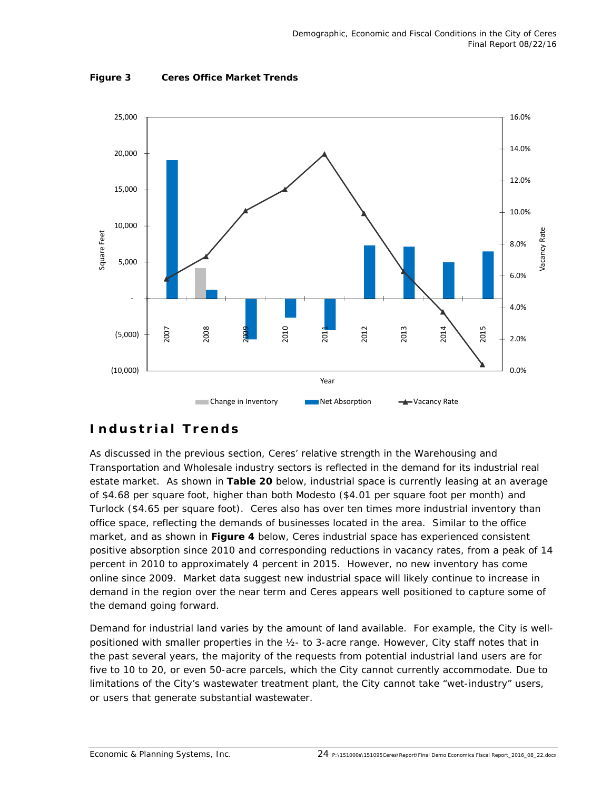

**Figure 3 Ceres Office Market Trends** 

### **Industrial Trends**

As discussed in the previous section, Ceres' relative strength in the Warehousing and Transportation and Wholesale industry sectors is reflected in the demand for its industrial real estate market. As shown in **Table 20** below, industrial space is currently leasing at an average of \$4.68 per square foot, higher than both Modesto (\$4.01 per square foot per month) and Turlock (\$4.65 per square foot). Ceres also has over ten times more industrial inventory than office space, reflecting the demands of businesses located in the area. Similar to the office market, and as shown in **Figure 4** below, Ceres industrial space has experienced consistent positive absorption since 2010 and corresponding reductions in vacancy rates, from a peak of 14 percent in 2010 to approximately 4 percent in 2015. However, no new inventory has come online since 2009. Market data suggest new industrial space will likely continue to increase in demand in the region over the near term and Ceres appears well positioned to capture some of the demand going forward.

Demand for industrial land varies by the amount of land available. For example, the City is wellpositioned with smaller properties in the ½- to 3-acre range. However, City staff notes that in the past several years, the majority of the requests from potential industrial land users are for five to 10 to 20, or even 50-acre parcels, which the City cannot currently accommodate. Due to limitations of the City's wastewater treatment plant, the City cannot take "wet-industry" users, or users that generate substantial wastewater.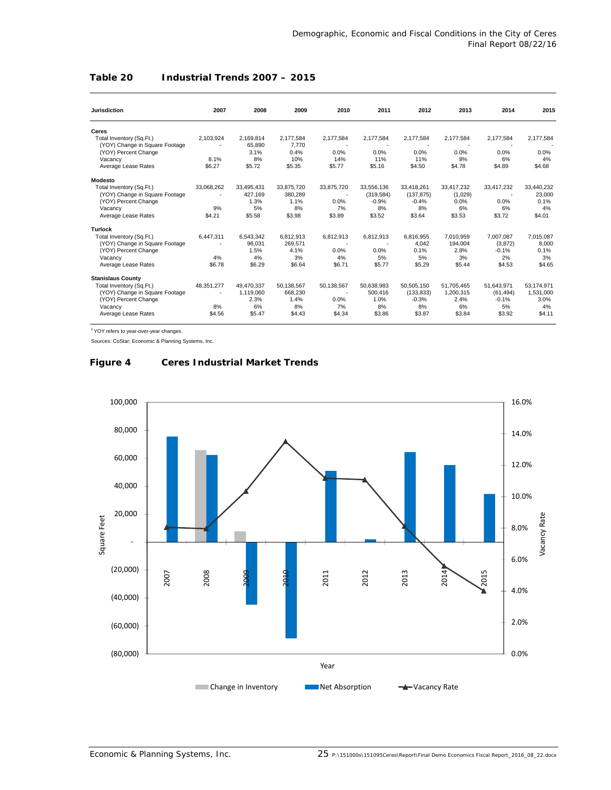### **Table 20 Industrial Trends 2007 – 2015**

| <b>Jurisdiction</b>            | 2007       | 2008       | 2009       | 2010       | 2011       | 2012       | 2013       | 2014       | 2015       |
|--------------------------------|------------|------------|------------|------------|------------|------------|------------|------------|------------|
|                                |            |            |            |            |            |            |            |            |            |
| Ceres                          |            |            |            |            |            |            |            |            |            |
| Total Inventory (Sq.Ft.)       | 2,103,924  | 2,169,814  | 2,177,584  | 2,177,584  | 2,177,584  | 2,177,584  | 2,177,584  | 2,177,584  | 2,177,584  |
| (YOY) Change in Square Footage |            | 65,890     | 7,770      |            |            |            |            |            |            |
| (YOY) Percent Change           |            | 3.1%       | 0.4%       | 0.0%       | 0.0%       | 0.0%       | 0.0%       | 0.0%       | 0.0%       |
| Vacancy                        | 8.1%       | 8%         | 10%        | 14%        | 11%        | 11%        | 8%         | 6%         | 4%         |
| Average Lease Rates            | \$6.27     | \$5.72     | \$5.35     | \$5.77     | \$5.16     | \$4.50     | \$4.78     | \$4.89     | \$4.68     |
| Modesto                        |            |            |            |            |            |            |            |            |            |
| Total Inventory (Sq.Ft.)       | 33.068.262 | 33.495.431 | 33.875.720 | 33,875,720 | 33.556.136 | 33.418.261 | 33.417.232 | 33.417.232 | 33,440,232 |
| (YOY) Change in Square Footage |            | 427.169    | 380,289    |            | (319, 584) | (137, 875) | (1,029)    |            | 23,000     |
| (YOY) Percent Change           |            | 1.3%       | 1.1%       | 0.0%       | $-0.9%$    | $-0.4%$    | 0.0%       | 0.0%       | 0.1%       |
| Vacancy                        | 9%         | 5%         | 8%         | 7%         | 8%         | 8%         | 6%         | 6%         | 4%         |
| Average Lease Rates            | \$4.21     | \$5.58     | \$3.98     | \$3.89     | \$3.52     | \$3.64     | \$3.53     | \$3.72     | \$4.01     |
| <b>Turlock</b>                 |            |            |            |            |            |            |            |            |            |
| Total Inventory (Sq.Ft.)       | 6,447,311  | 6,543,342  | 6,812,913  | 6,812,913  | 6,812,913  | 6,816,955  | 7,010,959  | 7,007,087  | 7,015,087  |
| (YOY) Change in Square Footage |            | 96,031     | 269,571    |            |            | 4,042      | 194,004    | (3,872)    | 8.000      |
| (YOY) Percent Change           |            | 1.5%       | 4.1%       | 0.0%       | 0.0%       | 0.1%       | 2.8%       | $-0.1%$    | 0.1%       |
| Vacancy                        | 4%         | 4%         | 3%         | 4%         | 5%         | 5%         | 3%         | 2%         | 3%         |
| Average Lease Rates            | \$6.78     | \$6.29     | \$6.64     | \$6.71     | \$5.77     | \$5.29     | \$5.44     | \$4.53     | \$4.65     |
| <b>Stanislaus County</b>       |            |            |            |            |            |            |            |            |            |
| Total Inventory (Sq.Ft.)       | 48,351,277 | 49.470.337 | 50,138,567 | 50,138,567 | 50,638,983 | 50,505,150 | 51,705,465 | 51,643,971 | 53,174,971 |
| (YOY) Change in Square Footage |            | 1,119,060  | 668,230    |            | 500.416    | (133, 833) | 1,200,315  | (61, 494)  | 1,531,000  |
| (YOY) Percent Change           |            | 2.3%       | 1.4%       | 0.0%       | 1.0%       | $-0.3%$    | 2.4%       | $-0.1%$    | 3.0%       |
| Vacancy                        | 8%         | 6%         | 8%         | 7%         | 8%         | 8%         | 6%         | 5%         | 4%         |
| Average Lease Rates            | \$4.56     | \$5.47     | \$4.43     | \$4.34     | \$3.86     | \$3.87     | \$3.84     | \$3.92     | \$4.11     |

<sup>1</sup> YOY refers to year-over-year changes.

Sources: CoStar; Economic & Planning Systems, Inc.

### **Figure 4 Ceres Industrial Market Trends**

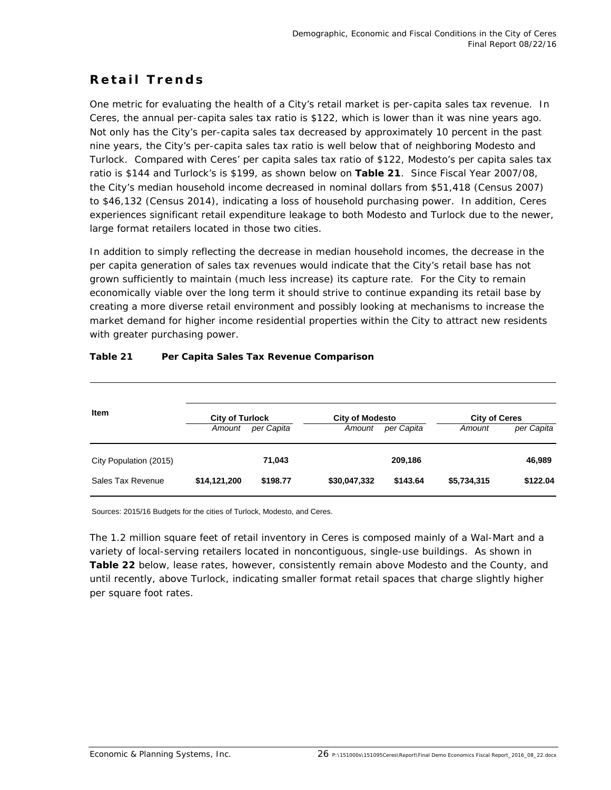## **Retail Trends**

One metric for evaluating the health of a City's retail market is per-capita sales tax revenue. In Ceres, the annual per-capita sales tax ratio is \$122, which is lower than it was nine years ago. Not only has the City's per-capita sales tax decreased by approximately 10 percent in the past nine years, the City's per-capita sales tax ratio is well below that of neighboring Modesto and Turlock. Compared with Ceres' per capita sales tax ratio of \$122, Modesto's per capita sales tax ratio is \$144 and Turlock's is \$199, as shown below on **Table 21**. Since Fiscal Year 2007/08, the City's median household income decreased in nominal dollars from \$51,418 (Census 2007) to \$46,132 (Census 2014), indicating a loss of household purchasing power. In addition, Ceres experiences significant retail expenditure leakage to both Modesto and Turlock due to the newer, large format retailers located in those two cities.

In addition to simply reflecting the decrease in median household incomes, the decrease in the per capita generation of sales tax revenues would indicate that the City's retail base has not grown sufficiently to maintain (much less increase) its capture rate. For the City to remain economically viable over the long term it should strive to continue expanding its retail base by creating a more diverse retail environment and possibly looking at mechanisms to increase the market demand for higher income residential properties within the City to attract new residents with greater purchasing power.

| <b>Item</b>            | <b>City of Turlock</b><br><b>City of Modesto</b><br><b>City of Ceres</b> |            |              |            |             |            |  |  |
|------------------------|--------------------------------------------------------------------------|------------|--------------|------------|-------------|------------|--|--|
|                        | Amount                                                                   | per Capita | Amount       | per Capita | Amount      | per Capita |  |  |
| City Population (2015) |                                                                          | 71,043     |              | 209,186    |             | 46,989     |  |  |
| Sales Tax Revenue      | \$14,121,200                                                             | \$198.77   | \$30,047,332 | \$143.64   | \$5,734,315 | \$122.04   |  |  |

### **Table 21 Per Capita Sales Tax Revenue Comparison**

Sources: 2015/16 Budgets for the cities of Turlock, Modesto, and Ceres.

The 1.2 million square feet of retail inventory in Ceres is composed mainly of a Wal-Mart and a variety of local-serving retailers located in noncontiguous, single-use buildings. As shown in **Table 22** below, lease rates, however, consistently remain above Modesto and the County, and until recently, above Turlock, indicating smaller format retail spaces that charge slightly higher per square foot rates.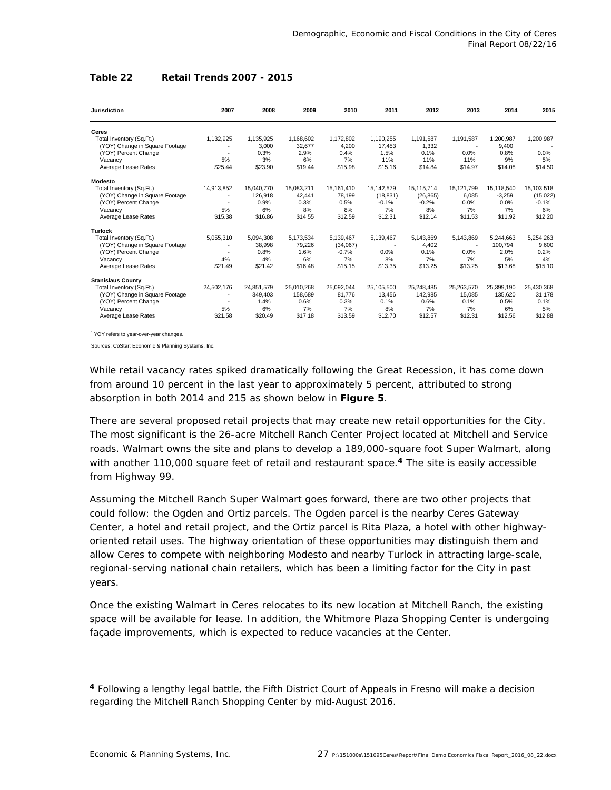#### **Table 22 Retail Trends 2007 - 2015**

| <b>Jurisdiction</b>            | 2007                     | 2008       | 2009       | 2010       | 2011       | 2012       | 2013       | 2014       | 2015       |
|--------------------------------|--------------------------|------------|------------|------------|------------|------------|------------|------------|------------|
| <b>Ceres</b>                   |                          |            |            |            |            |            |            |            |            |
| Total Inventory (Sq.Ft.)       | 1,132,925                | 1,135,925  | 1,168,602  | 1,172,802  | 1,190,255  | 1.191.587  | 1,191,587  | 1,200,987  | 1,200,987  |
| (YOY) Change in Square Footage |                          | 3.000      | 32.677     | 4.200      | 17.453     | 1.332      |            | 9.400      |            |
| (YOY) Percent Change           |                          | 0.3%       | 2.9%       | 0.4%       | 1.5%       | 0.1%       | 0.0%       | 0.8%       | 0.0%       |
| Vacancy                        | 5%                       | 3%         | 6%         | 7%         | 11%        | 11%        | 11%        | 9%         | 5%         |
| Average Lease Rates            | \$25.44                  | \$23.90    | \$19.44    | \$15.98    | \$15.16    | \$14.84    | \$14.97    | \$14.08    | \$14.50    |
| <b>Modesto</b>                 |                          |            |            |            |            |            |            |            |            |
| Total Inventory (Sq.Ft.)       | 14.913.852               | 15.040.770 | 15.083.211 | 15,161,410 | 15.142.579 | 15.115.714 | 15.121.799 | 15.118.540 | 15,103,518 |
| (YOY) Change in Square Footage | $\overline{\phantom{a}}$ | 126,918    | 42,441     | 78,199     | (18, 831)  | (26, 865)  | 6.085      | $-3,259$   | (15,022)   |
| (YOY) Percent Change           |                          | 0.9%       | 0.3%       | 0.5%       | $-0.1%$    | $-0.2%$    | 0.0%       | 0.0%       | $-0.1%$    |
| Vacancy                        | 5%                       | 6%         | 8%         | 8%         | 7%         | 8%         | 7%         | 7%         | 6%         |
| Average Lease Rates            | \$15.38                  | \$16.86    | \$14.55    | \$12.59    | \$12.31    | \$12.14    | \$11.53    | \$11.92    | \$12.20    |
| <b>Turlock</b>                 |                          |            |            |            |            |            |            |            |            |
| Total Inventory (Sq.Ft.)       | 5,055,310                | 5,094,308  | 5,173,534  | 5,139,467  | 5,139,467  | 5,143,869  | 5,143,869  | 5,244,663  | 5,254,263  |
| (YOY) Change in Square Footage |                          | 38,998     | 79,226     | (34,067)   |            | 4,402      |            | 100,794    | 9,600      |
| (YOY) Percent Change           |                          | 0.8%       | 1.6%       | $-0.7%$    | 0.0%       | 0.1%       | 0.0%       | 2.0%       | 0.2%       |
| Vacancy                        | 4%                       | 4%         | 6%         | 7%         | 8%         | 7%         | 7%         | 5%         | 4%         |
| Average Lease Rates            | \$21.49                  | \$21.42    | \$16.48    | \$15.15    | \$13.35    | \$13.25    | \$13.25    | \$13.68    | \$15.10    |
| <b>Stanislaus County</b>       |                          |            |            |            |            |            |            |            |            |
| Total Inventory (Sq.Ft.)       | 24,502,176               | 24,851,579 | 25,010,268 | 25,092,044 | 25,105,500 | 25,248,485 | 25,263,570 | 25,399,190 | 25,430,368 |
| (YOY) Change in Square Footage |                          | 349,403    | 158,689    | 81,776     | 13,456     | 142,985    | 15.085     | 135,620    | 31,178     |
| (YOY) Percent Change           |                          | 1.4%       | 0.6%       | 0.3%       | 0.1%       | 0.6%       | 0.1%       | 0.5%       | 0.1%       |
| Vacancy                        | 5%                       | 6%         | 7%         | 7%         | 8%         | 7%         | 7%         | 6%         | 5%         |
| Average Lease Rates            | \$21.58                  | \$20.49    | \$17.18    | \$13.59    | \$12.70    | \$12.57    | \$12.31    | \$12.56    | \$12.88    |

1 YOY refers to year-over-year changes.

Sources: CoStar; Economic & Planning Systems, Inc.

While retail vacancy rates spiked dramatically following the Great Recession, it has come down from around 10 percent in the last year to approximately 5 percent, attributed to strong absorption in both 2014 and 215 as shown below in **Figure 5**.

There are several proposed retail projects that may create new retail opportunities for the City. The most significant is the 26-acre Mitchell Ranch Center Project located at Mitchell and Service roads. Walmart owns the site and plans to develop a 189,000-square foot Super Walmart, along with another 110,000 square feet of retail and restaurant space.**4** The site is easily accessible from Highway 99.

Assuming the Mitchell Ranch Super Walmart goes forward, there are two other projects that could follow: the Ogden and Ortiz parcels. The Ogden parcel is the nearby Ceres Gateway Center, a hotel and retail project, and the Ortiz parcel is Rita Plaza, a hotel with other highwayoriented retail uses. The highway orientation of these opportunities may distinguish them and allow Ceres to compete with neighboring Modesto and nearby Turlock in attracting large-scale, regional-serving national chain retailers, which has been a limiting factor for the City in past years.

Once the existing Walmart in Ceres relocates to its new location at Mitchell Ranch, the existing space will be available for lease. In addition, the Whitmore Plaza Shopping Center is undergoing façade improvements, which is expected to reduce vacancies at the Center.

-

**<sup>4</sup>** Following a lengthy legal battle, the Fifth District Court of Appeals in Fresno will make a decision regarding the Mitchell Ranch Shopping Center by mid-August 2016.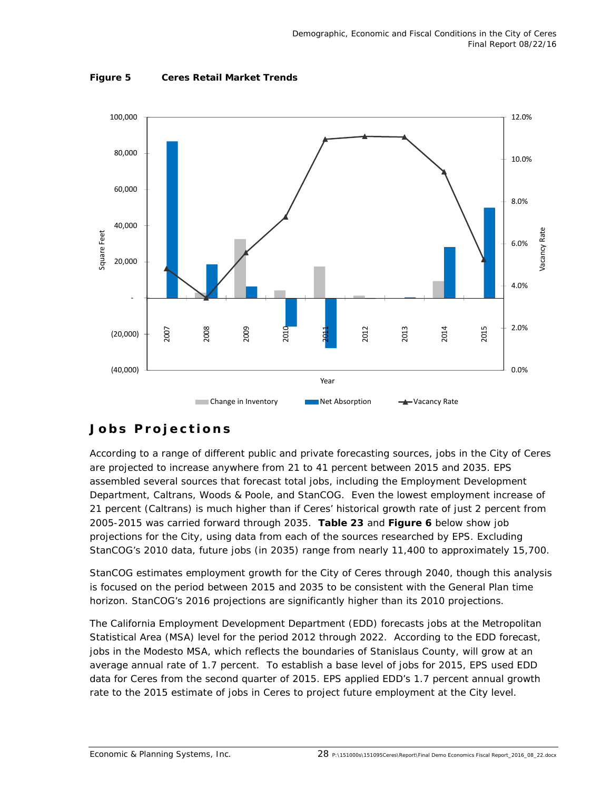

**Figure 5 Ceres Retail Market Trends** 

# **Jobs Projections**

According to a range of different public and private forecasting sources, jobs in the City of Ceres are projected to increase anywhere from 21 to 41 percent between 2015 and 2035. EPS assembled several sources that forecast total jobs, including the Employment Development Department, Caltrans, Woods & Poole, and StanCOG. Even the lowest employment increase of 21 percent (Caltrans) is much higher than if Ceres' historical growth rate of just 2 percent from 2005-2015 was carried forward through 2035. **Table 23** and **Figure 6** below show job projections for the City, using data from each of the sources researched by EPS. Excluding StanCOG's 2010 data, future jobs (in 2035) range from nearly 11,400 to approximately 15,700.

StanCOG estimates employment growth for the City of Ceres through 2040, though this analysis is focused on the period between 2015 and 2035 to be consistent with the General Plan time horizon. StanCOG's 2016 projections are significantly higher than its 2010 projections.

The California Employment Development Department (EDD) forecasts jobs at the Metropolitan Statistical Area (MSA) level for the period 2012 through 2022. According to the EDD forecast, jobs in the Modesto MSA, which reflects the boundaries of Stanislaus County, will grow at an average annual rate of 1.7 percent. To establish a base level of jobs for 2015, EPS used EDD data for Ceres from the second quarter of 2015. EPS applied EDD's 1.7 percent annual growth rate to the 2015 estimate of jobs in Ceres to project future employment at the City level.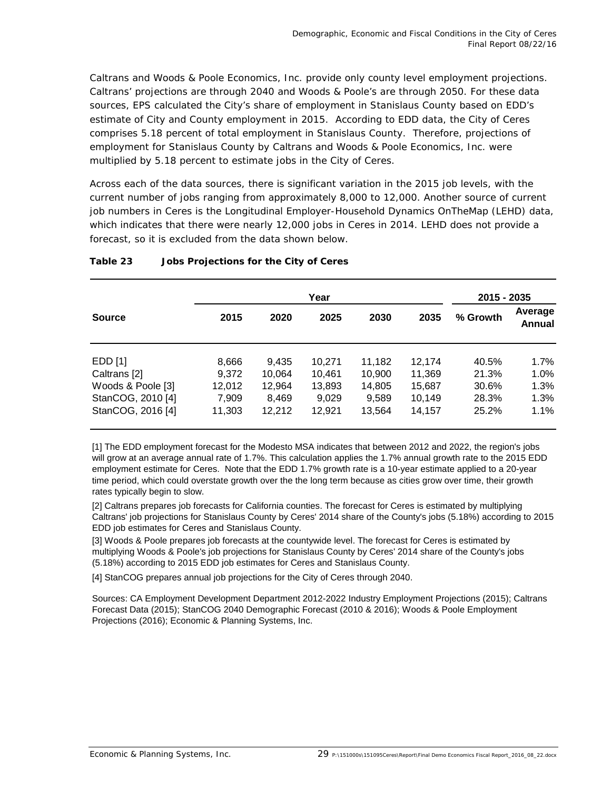Caltrans and Woods & Poole Economics, Inc. provide only county level employment projections. Caltrans' projections are through 2040 and Woods & Poole's are through 2050. For these data sources, EPS calculated the City's share of employment in Stanislaus County based on EDD's estimate of City and County employment in 2015. According to EDD data, the City of Ceres comprises 5.18 percent of total employment in Stanislaus County. Therefore, projections of employment for Stanislaus County by Caltrans and Woods & Poole Economics, Inc. were multiplied by 5.18 percent to estimate jobs in the City of Ceres.

Across each of the data sources, there is significant variation in the 2015 job levels, with the current number of jobs ranging from approximately 8,000 to 12,000. Another source of current job numbers in Ceres is the Longitudinal Employer-Household Dynamics OnTheMap (LEHD) data, which indicates that there were nearly 12,000 jobs in Ceres in 2014. LEHD does not provide a forecast, so it is excluded from the data shown below.

|                   |        |        |        | 2015 - 2035 |        |          |                          |
|-------------------|--------|--------|--------|-------------|--------|----------|--------------------------|
| <b>Source</b>     | 2015   | 2020   | 2025   | 2030        | 2035   | % Growth | Average<br><b>Annual</b> |
| EDD [1]           | 8,666  | 9,435  | 10.271 | 11,182      | 12.174 | 40.5%    | $1.7\%$                  |
| Caltrans [2]      | 9,372  | 10,064 | 10,461 | 10,900      | 11,369 | 21.3%    | 1.0%                     |
| Woods & Poole [3] | 12,012 | 12,964 | 13,893 | 14,805      | 15,687 | 30.6%    | 1.3%                     |
| StanCOG, 2010 [4] | 7,909  | 8,469  | 9,029  | 9,589       | 10,149 | 28.3%    | 1.3%                     |
| StanCOG, 2016 [4] | 11,303 | 12,212 | 12,921 | 13,564      | 14.157 | 25.2%    | 1.1%                     |

### **Table 23 Jobs Projections for the City of Ceres**

[1] The EDD employment forecast for the Modesto MSA indicates that between 2012 and 2022, the region's jobs will grow at an average annual rate of 1.7%. This calculation applies the 1.7% annual growth rate to the 2015 EDD employment estimate for Ceres. Note that the EDD 1.7% growth rate is a 10-year estimate applied to a 20-year time period, which could overstate growth over the the long term because as cities grow over time, their growth rates typically begin to slow.

[2] Caltrans prepares job forecasts for California counties. The forecast for Ceres is estimated by multiplying Caltrans' job projections for Stanislaus County by Ceres' 2014 share of the County's jobs (5.18%) according to 2015 EDD job estimates for Ceres and Stanislaus County.

[3] Woods & Poole prepares job forecasts at the countywide level. The forecast for Ceres is estimated by multiplying Woods & Poole's job projections for Stanislaus County by Ceres' 2014 share of the County's jobs (5.18%) according to 2015 EDD job estimates for Ceres and Stanislaus County.

[4] StanCOG prepares annual job projections for the City of Ceres through 2040.

Sources: CA Employment Development Department 2012-2022 Industry Employment Projections (2015); Caltrans Forecast Data (2015); StanCOG 2040 Demographic Forecast (2010 & 2016); Woods & Poole Employment Projections (2016); Economic & Planning Systems, Inc.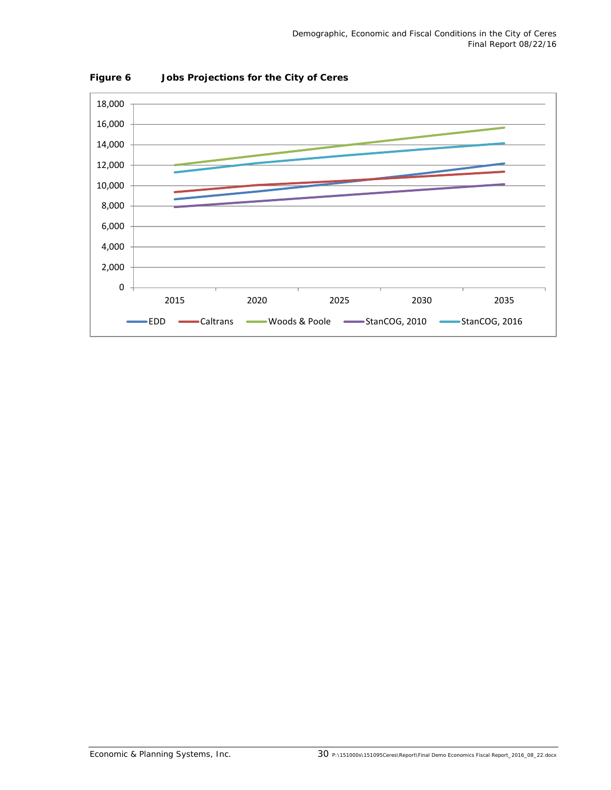

**Figure 6 Jobs Projections for the City of Ceres**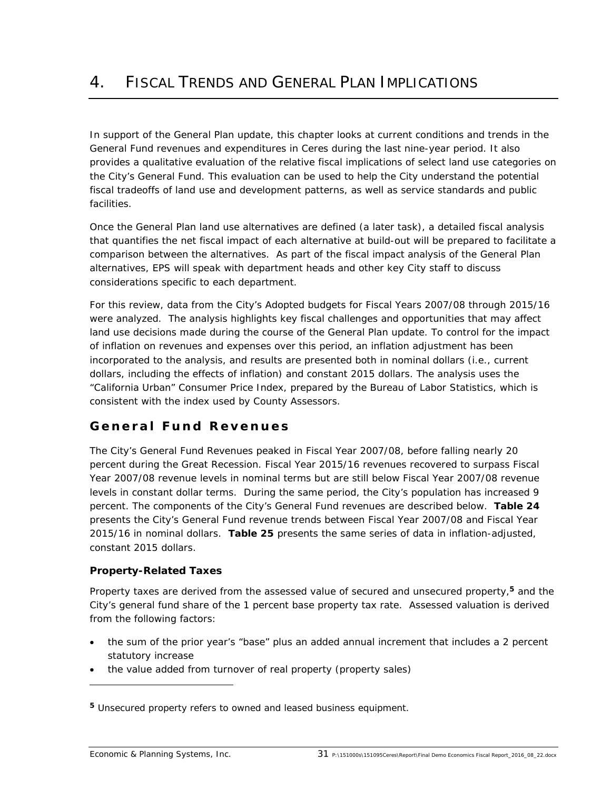In support of the General Plan update, this chapter looks at current conditions and trends in the General Fund revenues and expenditures in Ceres during the last nine-year period. It also provides a qualitative evaluation of the relative fiscal implications of select land use categories on the City's General Fund. This evaluation can be used to help the City understand the potential fiscal tradeoffs of land use and development patterns, as well as service standards and public facilities.

Once the General Plan land use alternatives are defined (a later task), a detailed fiscal analysis that quantifies the net fiscal impact of each alternative at build-out will be prepared to facilitate a comparison between the alternatives. As part of the fiscal impact analysis of the General Plan alternatives, EPS will speak with department heads and other key City staff to discuss considerations specific to each department.

For this review, data from the City's Adopted budgets for Fiscal Years 2007/08 through 2015/16 were analyzed. The analysis highlights key fiscal challenges and opportunities that may affect land use decisions made during the course of the General Plan update. To control for the impact of inflation on revenues and expenses over this period, an inflation adjustment has been incorporated to the analysis, and results are presented both in nominal dollars (i.e., current dollars, including the effects of inflation) and constant 2015 dollars. The analysis uses the "California Urban" Consumer Price Index, prepared by the Bureau of Labor Statistics, which is consistent with the index used by County Assessors.

### **General Fund Revenues**

The City's General Fund Revenues peaked in Fiscal Year 2007/08, before falling nearly 20 percent during the Great Recession. Fiscal Year 2015/16 revenues recovered to surpass Fiscal Year 2007/08 revenue levels in nominal terms but are still below Fiscal Year 2007/08 revenue levels in constant dollar terms. During the same period, the City's population has increased 9 percent. The components of the City's General Fund revenues are described below. **Table 24** presents the City's General Fund revenue trends between Fiscal Year 2007/08 and Fiscal Year 2015/16 in nominal dollars. **Table 25** presents the same series of data in inflation-adjusted, constant 2015 dollars.

### **Property-Related Taxes**

Property taxes are derived from the assessed value of secured and unsecured property,**5** and the City's general fund share of the 1 percent base property tax rate. Assessed valuation is derived from the following factors:

- the sum of the prior year's "base" plus an added annual increment that includes a 2 percent statutory increase
- the value added from turnover of real property (property sales)

**<sup>5</sup>** Unsecured property refers to owned and leased business equipment.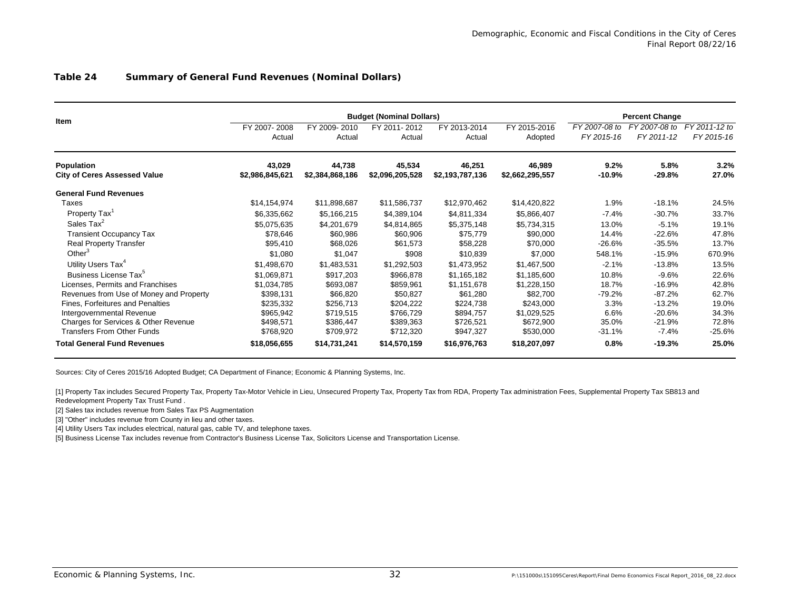#### **Table 24 Summary of General Fund Revenues (Nominal Dollars)**

|                                         | <b>Budget (Nominal Dollars)</b><br><b>Percent Change</b> |                 |                 |                 |                 |               |               |               |  |  |  |
|-----------------------------------------|----------------------------------------------------------|-----------------|-----------------|-----------------|-----------------|---------------|---------------|---------------|--|--|--|
| Item                                    | FY 2007-2008                                             | FY 2009-2010    | FY 2011-2012    | FY 2013-2014    | FY 2015-2016    | FY 2007-08 to | FY 2007-08 to | FY 2011-12 to |  |  |  |
|                                         | Actual                                                   | Actual          | Actual          | Actual          | Adopted         | FY 2015-16    | FY 2011-12    | FY 2015-16    |  |  |  |
| <b>Population</b>                       | 43,029                                                   | 44,738          | 45,534          | 46,251          | 46,989          | 9.2%          | 5.8%          | 3.2%          |  |  |  |
| <b>City of Ceres Assessed Value</b>     | \$2,986,845,621                                          | \$2,384,868,186 | \$2,096,205,528 | \$2,193,787,136 | \$2,662,295,557 | $-10.9%$      | $-29.8%$      | 27.0%         |  |  |  |
| <b>General Fund Revenues</b>            |                                                          |                 |                 |                 |                 |               |               |               |  |  |  |
| Taxes                                   | \$14,154,974                                             | \$11,898,687    | \$11,586,737    | \$12,970,462    | \$14,420,822    | 1.9%          | $-18.1%$      | 24.5%         |  |  |  |
| Property Tax <sup>1</sup>               | \$6,335,662                                              | \$5,166,215     | \$4,389,104     | \$4,811,334     | \$5,866,407     | $-7.4%$       | $-30.7%$      | 33.7%         |  |  |  |
| Sales Tax <sup>2</sup>                  | \$5,075,635                                              | \$4,201,679     | \$4,814,865     | \$5,375,148     | \$5,734,315     | 13.0%         | $-5.1%$       | 19.1%         |  |  |  |
| <b>Transient Occupancy Tax</b>          | \$78,646                                                 | \$60,986        | \$60,906        | \$75,779        | \$90,000        | 14.4%         | $-22.6%$      | 47.8%         |  |  |  |
| <b>Real Property Transfer</b>           | \$95,410                                                 | \$68,026        | \$61,573        | \$58,228        | \$70,000        | $-26.6%$      | $-35.5%$      | 13.7%         |  |  |  |
| Other $3$                               | \$1,080                                                  | \$1,047         | \$908           | \$10,839        | \$7,000         | 548.1%        | $-15.9%$      | 670.9%        |  |  |  |
| Utility Users Tax <sup>4</sup>          | \$1,498,670                                              | \$1,483,531     | \$1,292,503     | \$1,473,952     | \$1,467,500     | $-2.1%$       | $-13.8%$      | 13.5%         |  |  |  |
| Business License Tax <sup>5</sup>       | \$1,069,871                                              | \$917,203       | \$966,878       | \$1,165,182     | \$1,185,600     | 10.8%         | $-9.6%$       | 22.6%         |  |  |  |
| Licenses, Permits and Franchises        | \$1,034,785                                              | \$693,087       | \$859,961       | \$1,151,678     | \$1,228,150     | 18.7%         | $-16.9%$      | 42.8%         |  |  |  |
| Revenues from Use of Money and Property | \$398,131                                                | \$66,820        | \$50,827        | \$61,280        | \$82,700        | $-79.2%$      | $-87.2%$      | 62.7%         |  |  |  |
| Fines, Forfeitures and Penalties        | \$235,332                                                | \$256,713       | \$204,222       | \$224,738       | \$243,000       | 3.3%          | $-13.2%$      | 19.0%         |  |  |  |
| Intergovernmental Revenue               | \$965,942                                                | \$719,515       | \$766,729       | \$894,757       | \$1,029,525     | 6.6%          | $-20.6%$      | 34.3%         |  |  |  |
| Charges for Services & Other Revenue    | \$498,571                                                | \$386,447       | \$389,363       | \$726,521       | \$672,900       | 35.0%         | $-21.9%$      | 72.8%         |  |  |  |
| <b>Transfers From Other Funds</b>       | \$768,920                                                | \$709,972       | \$712,320       | \$947,327       | \$530,000       | $-31.1%$      | $-7.4%$       | $-25.6%$      |  |  |  |
| <b>Total General Fund Revenues</b>      | \$18,056,655                                             | \$14,731,241    | \$14,570,159    | \$16,976,763    | \$18,207,097    | 0.8%          | $-19.3%$      | 25.0%         |  |  |  |

Sources: City of Ceres 2015/16 Adopted Budget; CA Department of Finance; Economic & Planning Systems, Inc.

[1] Property Tax includes Secured Property Tax, Property Tax-Motor Vehicle in Lieu, Unsecured Property Tax, Property Tax from RDA, Property Tax administration Fees, Supplemental Property Tax SB813 and Redevelopment Property Tax Trust Fund .

[2] Sales tax includes revenue from Sales Tax PS Augmentation

[3] "Other" includes revenue from County in lieu and other taxes.

[4] Utility Users Tax includes electrical, natural gas, cable TV, and telephone taxes.

[5] Business License Tax includes revenue from Contractor's Business License Tax, Solicitors License and Transportation License.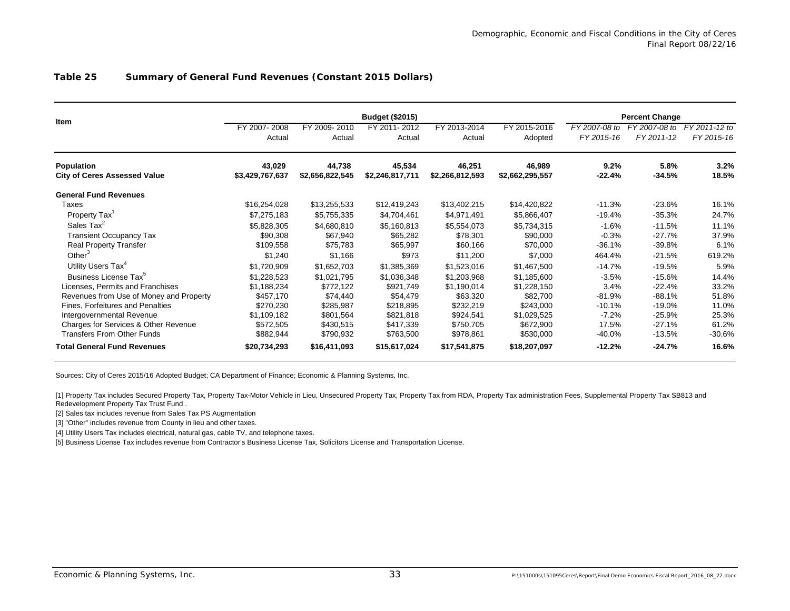|                                         |                 |                 |                 | <b>Percent Change</b> |                 |               |               |               |
|-----------------------------------------|-----------------|-----------------|-----------------|-----------------------|-----------------|---------------|---------------|---------------|
| <b>Item</b>                             | FY 2007-2008    | FY 2009-2010    | FY 2011-2012    | FY 2013-2014          | FY 2015-2016    | FY 2007-08 to | FY 2007-08 to | FY 2011-12 to |
|                                         | Actual          | Actual          | Actual          | Actual                | Adopted         | FY 2015-16    | FY 2011-12    | FY 2015-16    |
| Population                              | 43,029          | 44,738          | 45,534          | 46,251                | 46,989          | 9.2%          | 5.8%          | 3.2%          |
| <b>City of Ceres Assessed Value</b>     | \$3,429,767,637 | \$2,656,822,545 | \$2,246,817,711 | \$2,266,812,593       | \$2,662,295,557 | $-22.4%$      | $-34.5%$      | 18.5%         |
| <b>General Fund Revenues</b>            |                 |                 |                 |                       |                 |               |               |               |
| Taxes                                   | \$16,254,028    | \$13,255,533    | \$12,419,243    | \$13,402,215          | \$14,420,822    | $-11.3%$      | $-23.6%$      | 16.1%         |
| Property Tax <sup>1</sup>               | \$7,275,183     | \$5,755,335     | \$4,704,461     | \$4,971,491           | \$5,866,407     | $-19.4%$      | $-35.3%$      | 24.7%         |
| Sales Tax <sup>2</sup>                  | \$5,828,305     | \$4,680,810     | \$5,160,813     | \$5,554,073           | \$5,734,315     | $-1.6%$       | $-11.5%$      | 11.1%         |
| <b>Transient Occupancy Tax</b>          | \$90,308        | \$67,940        | \$65,282        | \$78,301              | \$90,000        | $-0.3%$       | $-27.7%$      | 37.9%         |
| <b>Real Property Transfer</b>           | \$109,558       | \$75,783        | \$65,997        | \$60,166              | \$70,000        | $-36.1%$      | $-39.8%$      | 6.1%          |
| Other $3$                               | \$1,240         | \$1,166         | \$973           | \$11,200              | \$7,000         | 464.4%        | $-21.5%$      | 619.2%        |
| Utility Users Tax <sup>4</sup>          | \$1,720,909     | \$1,652,703     | \$1,385,369     | \$1,523,016           | \$1,467,500     | $-14.7%$      | $-19.5%$      | 5.9%          |
| Business License Tax <sup>5</sup>       | \$1,228,523     | \$1,021,795     | \$1,036,348     | \$1,203,968           | \$1,185,600     | $-3.5%$       | $-15.6%$      | 14.4%         |
| Licenses, Permits and Franchises        | \$1,188,234     | \$772,122       | \$921,749       | \$1,190,014           | \$1,228,150     | 3.4%          | $-22.4%$      | 33.2%         |
| Revenues from Use of Money and Property | \$457,170       | \$74,440        | \$54,479        | \$63,320              | \$82,700        | $-81.9%$      | $-88.1%$      | 51.8%         |
| Fines, Forfeitures and Penalties        | \$270,230       | \$285,987       | \$218,895       | \$232,219             | \$243,000       | $-10.1%$      | $-19.0%$      | 11.0%         |
| Intergovernmental Revenue               | \$1,109,182     | \$801,564       | \$821,818       | \$924,541             | \$1,029,525     | $-7.2%$       | $-25.9%$      | 25.3%         |
| Charges for Services & Other Revenue    | \$572,505       | \$430,515       | \$417,339       | \$750,705             | \$672,900       | 17.5%         | $-27.1%$      | 61.2%         |
| <b>Transfers From Other Funds</b>       | \$882,944       | \$790,932       | \$763,500       | \$978,861             | \$530,000       | $-40.0\%$     | $-13.5%$      | $-30.6%$      |
| <b>Total General Fund Revenues</b>      | \$20,734,293    | \$16,411,093    | \$15,617,024    | \$17,541,875          | \$18,207,097    | $-12.2%$      | $-24.7%$      | 16.6%         |

### **Table 25 Summary of General Fund Revenues (Constant 2015 Dollars)**

Sources: City of Ceres 2015/16 Adopted Budget; CA Department of Finance; Economic & Planning Systems, Inc.

[1] Property Tax includes Secured Property Tax, Property Tax-Motor Vehicle in Lieu, Unsecured Property Tax, Property Tax from RDA, Property Tax administration Fees, Supplemental Property Tax SB813 and Redevelopment Property Tax Trust Fund .

[2] Sales tax includes revenue from Sales Tax PS Augmentation

[3] "Other" includes revenue from County in lieu and other taxes.

[4] Utility Users Tax includes electrical, natural gas, cable TV, and telephone taxes.

[5] Business License Tax includes revenue from Contractor's Business License Tax, Solicitors License and Transportation License.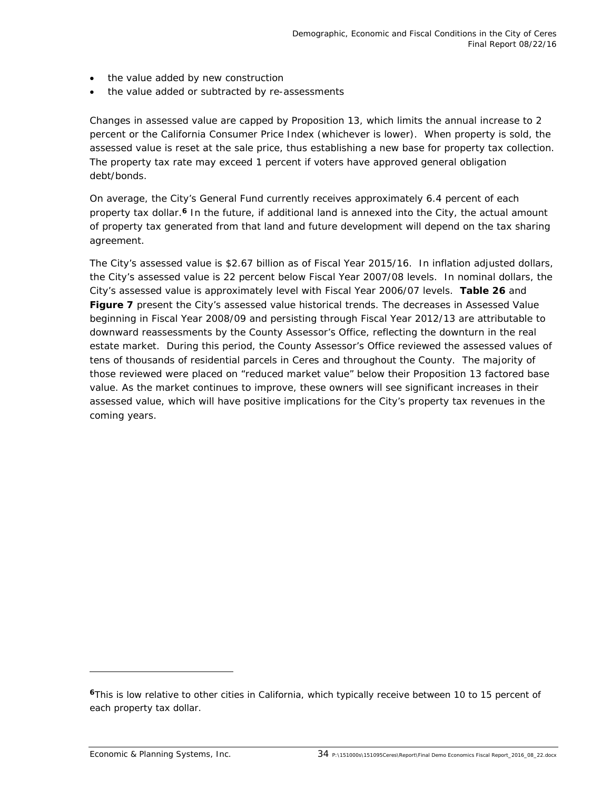- the value added by new construction
- the value added or subtracted by re-assessments

Changes in assessed value are capped by Proposition 13, which limits the annual increase to 2 percent or the California Consumer Price Index (whichever is lower). When property is sold, the assessed value is reset at the sale price, thus establishing a new base for property tax collection. The property tax rate may exceed 1 percent if voters have approved general obligation debt/bonds.

On average, the City's General Fund currently receives approximately 6.4 percent of each property tax dollar.**6** In the future, if additional land is annexed into the City, the actual amount of property tax generated from that land and future development will depend on the tax sharing agreement.

The City's assessed value is \$2.67 billion as of Fiscal Year 2015/16. In inflation adjusted dollars, the City's assessed value is 22 percent below Fiscal Year 2007/08 levels. In nominal dollars, the City's assessed value is approximately level with Fiscal Year 2006/07 levels. **Table 26** and **Figure 7** present the City's assessed value historical trends. The decreases in Assessed Value beginning in Fiscal Year 2008/09 and persisting through Fiscal Year 2012/13 are attributable to downward reassessments by the County Assessor's Office, reflecting the downturn in the real estate market. During this period, the County Assessor's Office reviewed the assessed values of tens of thousands of residential parcels in Ceres and throughout the County. The majority of those reviewed were placed on "reduced market value" below their Proposition 13 factored base value. As the market continues to improve, these owners will see significant increases in their assessed value, which will have positive implications for the City's property tax revenues in the coming years.

-

**<sup>6</sup>**This is low relative to other cities in California, which typically receive between 10 to 15 percent of each property tax dollar.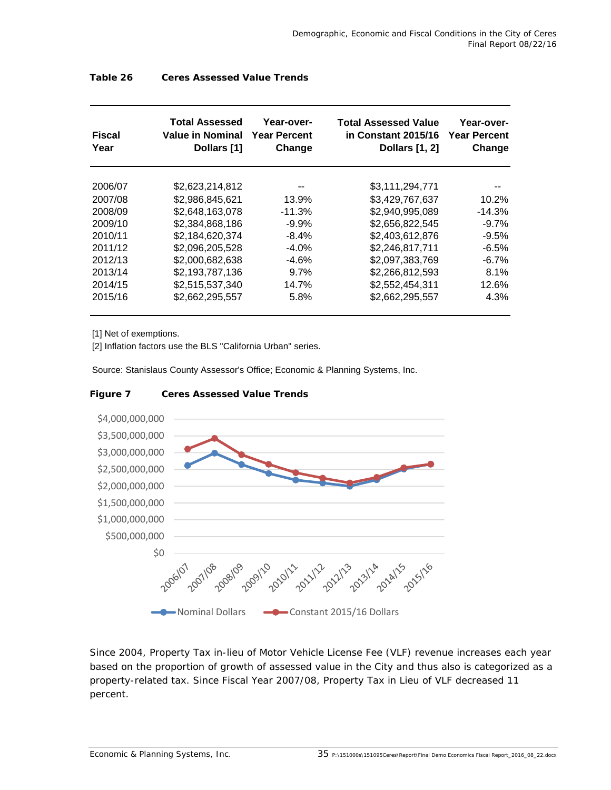| <b>Fiscal</b><br>Year | <b>Total Assessed</b><br><b>Value in Nominal</b><br>Dollars [1] | Year-over-<br><b>Year Percent</b><br>Change | <b>Total Assessed Value</b><br>in Constant 2015/16<br><b>Dollars</b> [1, 2] | Year-over-<br><b>Year Percent</b><br>Change |
|-----------------------|-----------------------------------------------------------------|---------------------------------------------|-----------------------------------------------------------------------------|---------------------------------------------|
| 2006/07               | \$2.623.214.812                                                 |                                             | \$3,111,294,771                                                             |                                             |
| 2007/08               | \$2,986,845,621                                                 | 13.9%                                       | \$3,429,767,637                                                             | 10.2%                                       |
| 2008/09               | \$2,648,163,078                                                 | $-11.3%$                                    | \$2,940,995,089                                                             | $-14.3%$                                    |
| 2009/10               | \$2,384,868,186                                                 | $-9.9%$                                     | \$2,656,822,545                                                             | $-9.7\%$                                    |
| 2010/11               | \$2,184,620,374                                                 | -8.4%                                       | \$2,403,612,876                                                             | $-9.5%$                                     |
| 2011/12               | \$2,096,205,528                                                 | $-4.0\%$                                    | \$2,246,817,711                                                             | $-6.5%$                                     |
| 2012/13               | \$2,000,682,638                                                 | $-4.6%$                                     | \$2,097,383,769                                                             | $-6.7\%$                                    |
| 2013/14               | \$2,193,787,136                                                 | 9.7%                                        | \$2,266,812,593                                                             | 8.1%                                        |
| 2014/15               | \$2,515,537,340                                                 | 14.7%                                       | \$2,552,454,311                                                             | 12.6%                                       |
| 2015/16               | \$2,662,295,557                                                 | 5.8%                                        | \$2,662,295,557                                                             | 4.3%                                        |

### **Table 26 Ceres Assessed Value Trends**

[1] Net of exemptions.

[2] Inflation factors use the BLS "California Urban" series.

Source: Stanislaus County Assessor's Office; Economic & Planning Systems, Inc.



#### **Figure 7 Ceres Assessed Value Trends**

Since 2004, Property Tax in-lieu of Motor Vehicle License Fee (VLF) revenue increases each year based on the proportion of growth of assessed value in the City and thus also is categorized as a property-related tax. Since Fiscal Year 2007/08, Property Tax in Lieu of VLF decreased 11 percent.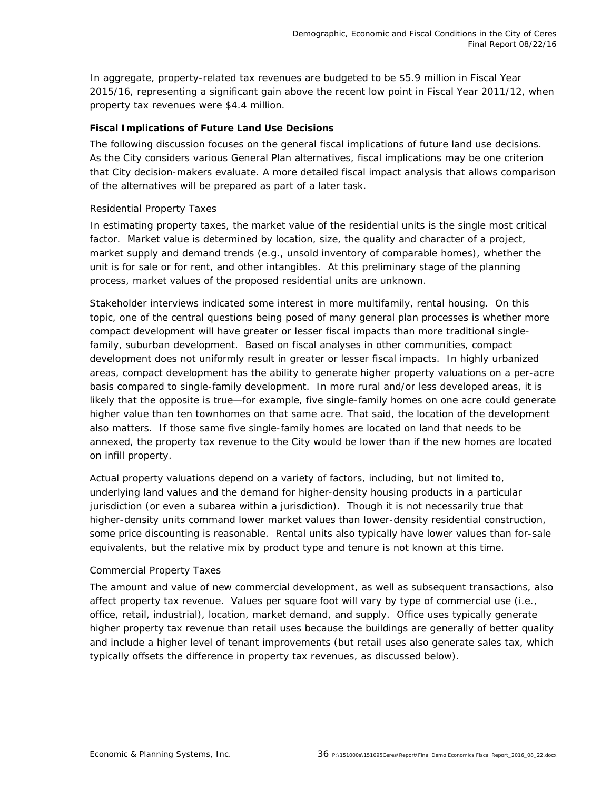In aggregate, property-related tax revenues are budgeted to be \$5.9 million in Fiscal Year 2015/16, representing a significant gain above the recent low point in Fiscal Year 2011/12, when property tax revenues were \$4.4 million.

### *Fiscal Implications of Future Land Use Decisions*

The following discussion focuses on the general fiscal implications of future land use decisions. As the City considers various General Plan alternatives, fiscal implications may be one criterion that City decision-makers evaluate. A more detailed fiscal impact analysis that allows comparison of the alternatives will be prepared as part of a later task.

### Residential Property Taxes

In estimating property taxes, the market value of the residential units is the single most critical factor. Market value is determined by location, size, the quality and character of a project, market supply and demand trends (e.g., unsold inventory of comparable homes), whether the unit is for sale or for rent, and other intangibles. At this preliminary stage of the planning process, market values of the proposed residential units are unknown.

Stakeholder interviews indicated some interest in more multifamily, rental housing. On this topic, one of the central questions being posed of many general plan processes is whether more compact development will have greater or lesser fiscal impacts than more traditional singlefamily, suburban development. Based on fiscal analyses in other communities, compact development does not uniformly result in greater or lesser fiscal impacts. In highly urbanized areas, compact development has the ability to generate higher property valuations on a per-acre basis compared to single-family development. In more rural and/or less developed areas, it is likely that the opposite is true—for example, five single-family homes on one acre could generate higher value than ten townhomes on that same acre. That said, the location of the development also matters. If those same five single-family homes are located on land that needs to be annexed, the property tax revenue to the City would be lower than if the new homes are located on infill property.

Actual property valuations depend on a variety of factors, including, but not limited to, underlying land values and the demand for higher-density housing products in a particular jurisdiction (or even a subarea within a jurisdiction). Though it is not necessarily true that higher-density units command lower market values than lower-density residential construction, some price discounting is reasonable. Rental units also typically have lower values than for-sale equivalents, but the relative mix by product type and tenure is not known at this time.

### Commercial Property Taxes

The amount and value of new commercial development, as well as subsequent transactions, also affect property tax revenue. Values per square foot will vary by type of commercial use (i.e., office, retail, industrial), location, market demand, and supply. Office uses typically generate higher property tax revenue than retail uses because the buildings are generally of better quality and include a higher level of tenant improvements (but retail uses also generate sales tax, which typically offsets the difference in property tax revenues, as discussed below).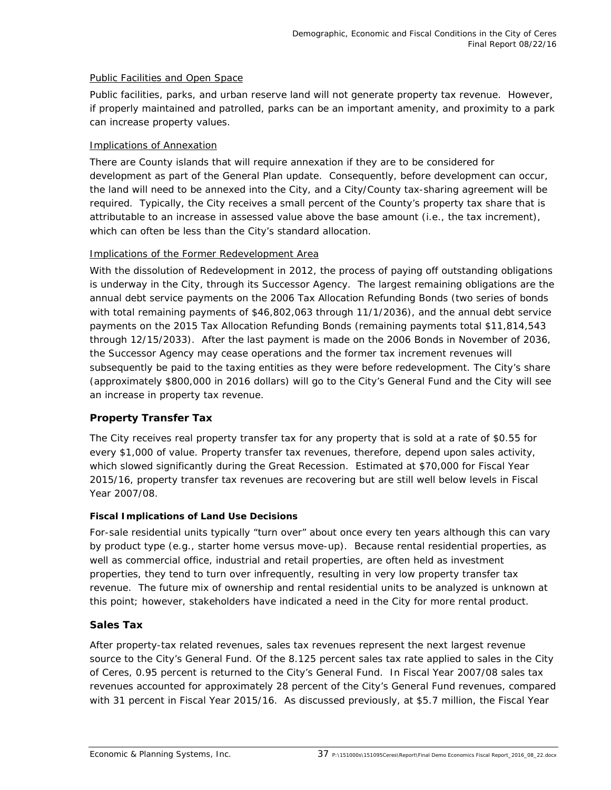### Public Facilities and Open Space

Public facilities, parks, and urban reserve land will not generate property tax revenue. However, if properly maintained and patrolled, parks can be an important amenity, and proximity to a park can increase property values.

### Implications of Annexation

There are County islands that will require annexation if they are to be considered for development as part of the General Plan update. Consequently, before development can occur, the land will need to be annexed into the City, and a City/County tax-sharing agreement will be required. Typically, the City receives a small percent of the County's property tax share that is attributable to an increase in assessed value above the base amount (i.e., the tax increment), which can often be less than the City's standard allocation.

### Implications of the Former Redevelopment Area

With the dissolution of Redevelopment in 2012, the process of paying off outstanding obligations is underway in the City, through its Successor Agency. The largest remaining obligations are the annual debt service payments on the 2006 Tax Allocation Refunding Bonds (two series of bonds with total remaining payments of \$46,802,063 through 11/1/2036), and the annual debt service payments on the 2015 Tax Allocation Refunding Bonds (remaining payments total \$11,814,543 through 12/15/2033). After the last payment is made on the 2006 Bonds in November of 2036, the Successor Agency may cease operations and the former tax increment revenues will subsequently be paid to the taxing entities as they were before redevelopment. The City's share (approximately \$800,000 in 2016 dollars) will go to the City's General Fund and the City will see an increase in property tax revenue.

### **Property Transfer Tax**

The City receives real property transfer tax for any property that is sold at a rate of \$0.55 for every \$1,000 of value. Property transfer tax revenues, therefore, depend upon sales activity, which slowed significantly during the Great Recession. Estimated at \$70,000 for Fiscal Year 2015/16, property transfer tax revenues are recovering but are still well below levels in Fiscal Year 2007/08.

### *Fiscal Implications of Land Use Decisions*

For-sale residential units typically "turn over" about once every ten years although this can vary by product type (e.g., starter home versus move-up). Because rental residential properties, as well as commercial office, industrial and retail properties, are often held as investment properties, they tend to turn over infrequently, resulting in very low property transfer tax revenue. The future mix of ownership and rental residential units to be analyzed is unknown at this point; however, stakeholders have indicated a need in the City for more rental product.

### **Sales Tax**

After property-tax related revenues, sales tax revenues represent the next largest revenue source to the City's General Fund. Of the 8.125 percent sales tax rate applied to sales in the City of Ceres, 0.95 percent is returned to the City's General Fund. In Fiscal Year 2007/08 sales tax revenues accounted for approximately 28 percent of the City's General Fund revenues, compared with 31 percent in Fiscal Year 2015/16. As discussed previously, at \$5.7 million, the Fiscal Year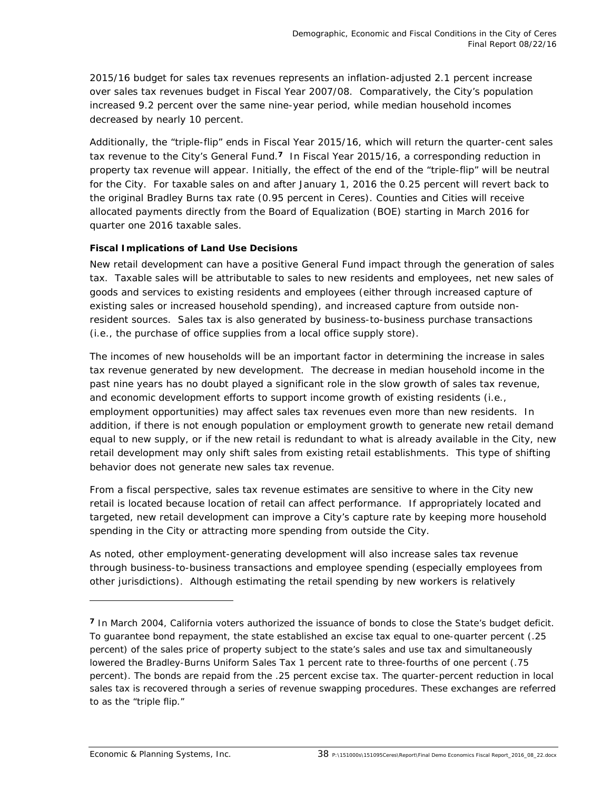2015/16 budget for sales tax revenues represents an inflation-adjusted 2.1 percent increase over sales tax revenues budget in Fiscal Year 2007/08. Comparatively, the City's population increased 9.2 percent over the same nine-year period, while median household incomes decreased by nearly 10 percent.

Additionally, the "triple-flip" ends in Fiscal Year 2015/16, which will return the quarter-cent sales tax revenue to the City's General Fund.**7** In Fiscal Year 2015/16, a corresponding reduction in property tax revenue will appear. Initially, the effect of the end of the "triple-flip" will be neutral for the City. For taxable sales on and after January 1, 2016 the 0.25 percent will revert back to the original Bradley Burns tax rate (0.95 percent in Ceres). Counties and Cities will receive allocated payments directly from the Board of Equalization (BOE) starting in March 2016 for quarter one 2016 taxable sales.

### *Fiscal Implications of Land Use Decisions*

New retail development can have a positive General Fund impact through the generation of sales tax. Taxable sales will be attributable to sales to *new* residents and employees, *net new* sales of goods and services to *existing* residents and employees (either through increased capture of existing sales or increased household spending), and increased capture from outside nonresident sources. Sales tax is also generated by business-to-business purchase transactions (i.e., the purchase of office supplies from a local office supply store).

The incomes of new households will be an important factor in determining the increase in sales tax revenue generated by new development. The decrease in median household income in the past nine years has no doubt played a significant role in the slow growth of sales tax revenue, and economic development efforts to support income growth of existing residents (i.e., employment opportunities) may affect sales tax revenues even more than new residents. In addition, if there is not enough population or employment growth to generate new retail demand equal to new supply, or if the new retail is redundant to what is already available in the City, new retail development may only shift sales from existing retail establishments. This type of shifting behavior does not generate new sales tax revenue.

From a fiscal perspective, sales tax revenue estimates are sensitive to *where* in the City new retail is located because location of retail can affect performance. If appropriately located and targeted, new retail development can improve a City's capture rate by keeping more household spending in the City or attracting more spending from outside the City.

As noted, other employment-generating development will also increase sales tax revenue through business-to-business transactions and employee spending (especially employees from other jurisdictions). Although estimating the retail spending by new workers is relatively

-

**<sup>7</sup>** In March 2004, California voters authorized the issuance of bonds to close the State's budget deficit. To guarantee bond repayment, the state established an excise tax equal to one-quarter percent (.25 percent) of the sales price of property subject to the state's sales and use tax and simultaneously lowered the Bradley-Burns Uniform Sales Tax 1 percent rate to three-fourths of one percent (.75 percent). The bonds are repaid from the .25 percent excise tax. The quarter-percent reduction in local sales tax is recovered through a series of revenue swapping procedures. These exchanges are referred to as the "triple flip."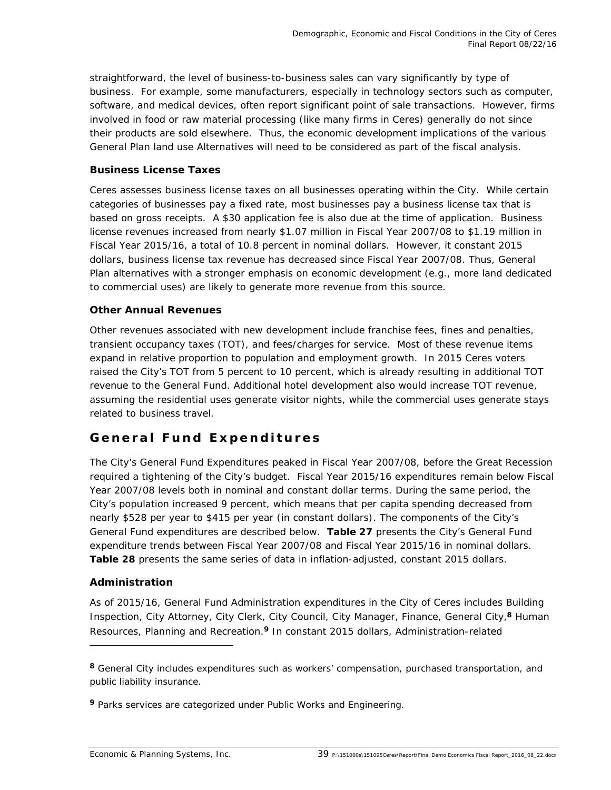straightforward, the level of business-to-business sales can vary significantly by type of business. For example, some manufacturers, especially in technology sectors such as computer, software, and medical devices, often report significant point of sale transactions. However, firms involved in food or raw material processing (like many firms in Ceres) generally do not since their products are sold elsewhere. Thus, the economic development implications of the various General Plan land use Alternatives will need to be considered as part of the fiscal analysis.

### **Business License Taxes**

Ceres assesses business license taxes on all businesses operating within the City. While certain categories of businesses pay a fixed rate, most businesses pay a business license tax that is based on gross receipts. A \$30 application fee is also due at the time of application. Business license revenues increased from nearly \$1.07 million in Fiscal Year 2007/08 to \$1.19 million in Fiscal Year 2015/16, a total of 10.8 percent in nominal dollars. However, it constant 2015 dollars, business license tax revenue has decreased since Fiscal Year 2007/08. Thus, General Plan alternatives with a stronger emphasis on economic development (e.g., more land dedicated to commercial uses) are likely to generate more revenue from this source.

### **Other Annual Revenues**

Other revenues associated with new development include franchise fees, fines and penalties, transient occupancy taxes (TOT), and fees/charges for service. Most of these revenue items expand in relative proportion to population and employment growth. In 2015 Ceres voters raised the City's TOT from 5 percent to 10 percent, which is already resulting in additional TOT revenue to the General Fund. Additional hotel development also would increase TOT revenue, assuming the residential uses generate visitor nights, while the commercial uses generate stays related to business travel.

### **General Fund Expenditures**

The City's General Fund Expenditures peaked in Fiscal Year 2007/08, before the Great Recession required a tightening of the City's budget. Fiscal Year 2015/16 expenditures remain below Fiscal Year 2007/08 levels both in nominal and constant dollar terms. During the same period, the City's population increased 9 percent, which means that per capita spending decreased from nearly \$528 per year to \$415 per year (in constant dollars). The components of the City's General Fund expenditures are described below. **Table 27** presents the City's General Fund expenditure trends between Fiscal Year 2007/08 and Fiscal Year 2015/16 in nominal dollars. **Table 28** presents the same series of data in inflation-adjusted, constant 2015 dollars.

### **Administration**

-

As of 2015/16, General Fund Administration expenditures in the City of Ceres includes Building Inspection, City Attorney, City Clerk, City Council, City Manager, Finance, General City,**8** Human Resources, Planning and Recreation.**9** In constant 2015 dollars, Administration-related

**<sup>8</sup>** General City includes expenditures such as workers' compensation, purchased transportation, and public liability insurance.

**<sup>9</sup>** Parks services are categorized under Public Works and Engineering.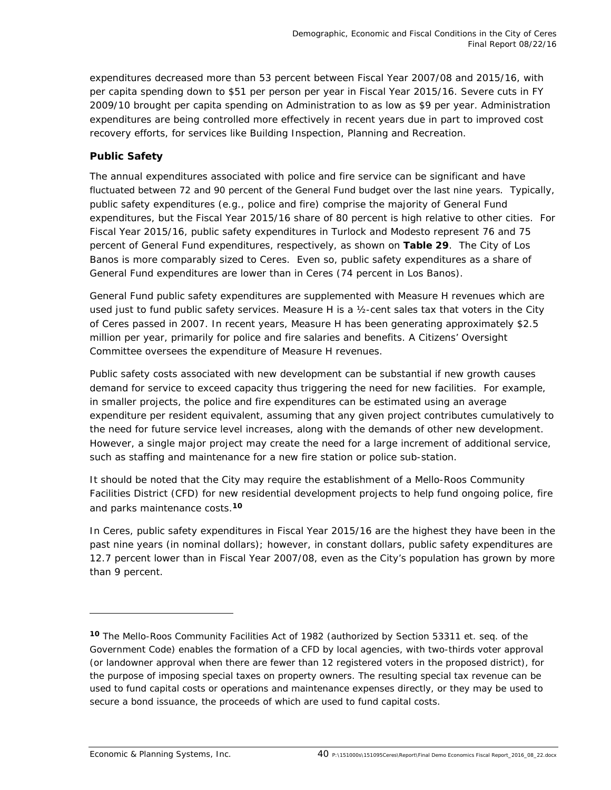expenditures decreased more than 53 percent between Fiscal Year 2007/08 and 2015/16, with per capita spending down to \$51 per person per year in Fiscal Year 2015/16. Severe cuts in FY 2009/10 brought per capita spending on Administration to as low as \$9 per year. Administration expenditures are being controlled more effectively in recent years due in part to improved cost recovery efforts, for services like Building Inspection, Planning and Recreation.

### **Public Safety**

The annual expenditures associated with police and fire service can be significant and have fluctuated between 72 and 90 percent of the General Fund budget over the last nine years. Typically, public safety expenditures (e.g., police and fire) comprise the majority of General Fund expenditures, but the Fiscal Year 2015/16 share of 80 percent is high relative to other cities. For Fiscal Year 2015/16, public safety expenditures in Turlock and Modesto represent 76 and 75 percent of General Fund expenditures, respectively, as shown on **Table 29**. The City of Los Banos is more comparably sized to Ceres. Even so, public safety expenditures as a share of General Fund expenditures are lower than in Ceres (74 percent in Los Banos).

General Fund public safety expenditures are supplemented with Measure H revenues which are used just to fund public safety services. Measure H is a ½-cent sales tax that voters in the City of Ceres passed in 2007. In recent years, Measure H has been generating approximately \$2.5 million per year, primarily for police and fire salaries and benefits. A Citizens' Oversight Committee oversees the expenditure of Measure H revenues.

Public safety costs associated with new development can be substantial if new growth causes demand for service to exceed capacity thus triggering the need for new facilities. For example, in smaller projects, the police and fire expenditures can be estimated using an average expenditure per resident equivalent, assuming that any given project contributes cumulatively to the need for future service level increases, along with the demands of other new development. However, a single major project may create the need for a large increment of additional service, such as staffing and maintenance for a new fire station or police sub-station.

It should be noted that the City may require the establishment of a Mello-Roos Community Facilities District (CFD) for new residential development projects to help fund ongoing police, fire and parks maintenance costs.**<sup>10</sup>**

In Ceres, public safety expenditures in Fiscal Year 2015/16 are the highest they have been in the past nine years (in nominal dollars); however, in constant dollars, public safety expenditures are 12.7 percent lower than in Fiscal Year 2007/08, even as the City's population has grown by more than 9 percent.

**<sup>10</sup>** The Mello-Roos Community Facilities Act of 1982 *(authorized by Section 53311 et. seq. of the Government Code)* enables the formation of a CFD by local agencies, with two-thirds voter approval (or landowner approval when there are fewer than 12 registered voters in the proposed district), for the purpose of imposing special taxes on property owners. The resulting special tax revenue can be used to fund capital costs or operations and maintenance expenses directly, or they may be used to secure a bond issuance, the proceeds of which are used to fund capital costs.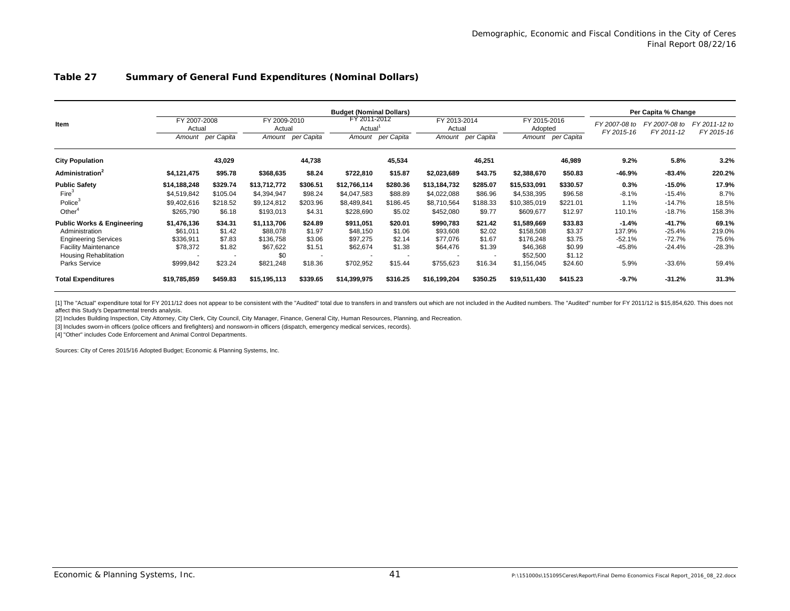#### **Table 27 Summary of General Fund Expenditures (Nominal Dollars)**

|                                       |                                  |            |                                  |            | <b>Budget (Nominal Dollars)</b> |                   |                        |                   |                         |                   |                             |                             | Per Capita % Change         |  |
|---------------------------------------|----------------------------------|------------|----------------------------------|------------|---------------------------------|-------------------|------------------------|-------------------|-------------------------|-------------------|-----------------------------|-----------------------------|-----------------------------|--|
| Item                                  | FY 2007-2008<br>Actual<br>Amount | per Capita | FY 2009-2010<br>Actual<br>Amount | per Capita | FY 2011-2012<br>Actual          | Amount per Capita | FY 2013-2014<br>Actual | Amount per Capita | FY 2015-2016<br>Adopted | Amount per Capita | FY 2007-08 to<br>FY 2015-16 | FY 2007-08 to<br>FY 2011-12 | FY 2011-12 to<br>FY 2015-16 |  |
| <b>City Population</b>                |                                  | 43,029     |                                  | 44,738     |                                 | 45,534            |                        | 46,251            |                         | 46,989            | 9.2%                        | 5.8%                        | 3.2%                        |  |
| <b>Administration</b> <sup>2</sup>    | \$4,121,475                      | \$95.78    | \$368,635                        | \$8.24     | \$722,810                       | \$15.87           | \$2,023,689            | \$43.75           | \$2,388,670             | \$50.83           | -46.9%                      | $-83.4%$                    | 220.2%                      |  |
| <b>Public Safety</b>                  | \$14,188,248                     | \$329.74   | \$13,712,772                     | \$306.51   | \$12,766,114                    | \$280.36          | \$13,184,732           | \$285.07          | \$15,533,091            | \$330.57          | 0.3%                        | $-15.0%$                    | 17.9%                       |  |
| Fire <sup>3</sup>                     | \$4,519,842                      | \$105.04   | \$4,394,947                      | \$98.24    | \$4,047,583                     | \$88.89           | \$4,022,088            | \$86.96           | \$4,538,395             | \$96.58           | $-8.1%$                     | $-15.4%$                    | 8.7%                        |  |
| Police <sup>3</sup>                   | \$9,402,616                      | \$218.52   | \$9,124,812                      | \$203.96   | \$8,489,841                     | \$186.45          | \$8,710,564            | \$188.33          | \$10,385,019            | \$221.01          | 1.1%                        | $-14.7%$                    | 18.5%                       |  |
| Other $\alpha$                        | \$265,790                        | \$6.18     | \$193,013                        | \$4.31     | \$228,690                       | \$5.02            | \$452,080              | \$9.77            | \$609,677               | \$12.97           | 110.1%                      | $-18.7%$                    | 158.3%                      |  |
| <b>Public Works &amp; Engineering</b> | \$1,476,136                      | \$34.31    | \$1,113,706                      | \$24.89    | \$911,051                       | \$20.01           | \$990,783              | \$21.42           | \$1,589,669             | \$33.83           | $-1.4%$                     | $-41.7%$                    | 69.1%                       |  |
| Administration                        | \$61,011                         | \$1.42     | \$88,078                         | \$1.97     | \$48,150                        | \$1.06            | \$93,608               | \$2.02            | \$158,508               | \$3.37            | 137.9%                      | $-25.4%$                    | 219.0%                      |  |
| <b>Engineering Services</b>           | \$336,911                        | \$7.83     | \$136,758                        | \$3.06     | \$97,275                        | \$2.14            | \$77,076               | \$1.67            | \$176,248               | \$3.75            | $-52.1%$                    | $-72.7%$                    | 75.6%                       |  |
| <b>Facility Maintenance</b>           | \$78,372                         | \$1.82     | \$67,622                         | \$1.51     | \$62,674                        | \$1.38            | \$64,476               | \$1.39            | \$46,368                | \$0.99            | -45.8%                      | $-24.4%$                    | $-28.3%$                    |  |
| Housing Rehablitation                 |                                  |            | \$0                              |            |                                 |                   |                        |                   | \$52,500                | \$1.12            |                             |                             |                             |  |
| Parks Service                         | \$999,842                        | \$23.24    | \$821,248                        | \$18.36    | \$702,952                       | \$15.44           | \$755,623              | \$16.34           | \$1,156,045             | \$24.60           | 5.9%                        | $-33.6%$                    | 59.4%                       |  |
| <b>Total Expenditures</b>             | \$19,785,859                     | \$459.83   | \$15,195,113                     | \$339.65   | \$14,399,975                    | \$316.25          | \$16,199,204           | \$350.25          | \$19,511,430            | \$415.23          | $-9.7%$                     | $-31.2%$                    | 31.3%                       |  |

[1] The "Actual" expenditure total for FY 2011/12 does not appear to be consistent with the "Audited" total due to transfers in and transfers out which are not included in the Audited numbers. The "Audited" number for FY 2 affect this Study's Departmental trends analysis.

[2] Includes Building Inspection, City Attorney, City Clerk, City Council, City Manager, Finance, General City, Human Resources, Planning, and Recreation.

[3] Includes sworn-in officers (police officers and firefighters) and nonsworn-in officers (dispatch, emergency medical services, records).

[4] "Other" includes Code Enforcement and Animal Control Departments.

Sources: City of Ceres 2015/16 Adopted Budget; Economic & Planning Systems, Inc.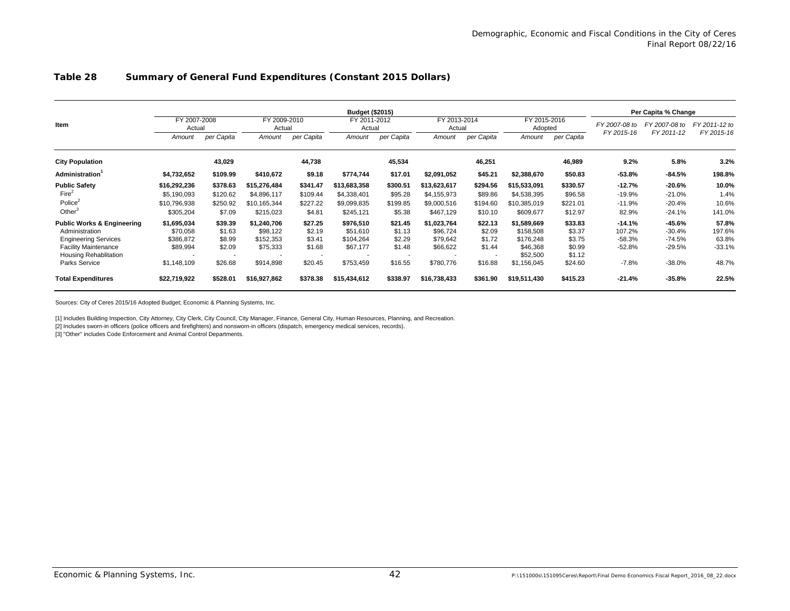#### **Table 28 Summary of General Fund Expenditures (Constant 2015 Dollars)**

|                                       |                        |            |              |                        | <b>Budget (\$2015)</b>   |                        |              |                          |              |                         | Per Capita % Change |               |               |  |  |  |
|---------------------------------------|------------------------|------------|--------------|------------------------|--------------------------|------------------------|--------------|--------------------------|--------------|-------------------------|---------------------|---------------|---------------|--|--|--|
| Item                                  | FY 2007-2008<br>Actual |            |              | FY 2009-2010<br>Actual |                          | FY 2011-2012<br>Actual |              | FY 2013-2014<br>Actual   |              | FY 2015-2016<br>Adopted |                     | FY 2007-08 to | FY 2011-12 to |  |  |  |
|                                       | Amount                 | per Capita | Amount       | per Capita             | Amount                   | per Capita             | Amount       | per Capita               | Amount       | per Capita              | FY 2015-16          | FY 2011-12    | FY 2015-16    |  |  |  |
| <b>City Population</b>                |                        | 43,029     |              | 44,738                 |                          | 45,534                 |              | 46,251                   |              | 46,989                  | 9.2%                | 5.8%          | 3.2%          |  |  |  |
| <b>Administration</b>                 | \$4,732,652            | \$109.99   | \$410,672    | \$9.18                 | \$774,744                | \$17.01                | \$2,091,052  | \$45.21                  | \$2,388,670  | \$50.83                 | $-53.8%$            | $-84.5%$      | 198.8%        |  |  |  |
| <b>Public Safety</b>                  | \$16,292,236           | \$378.63   | \$15,276,484 | \$341.47               | \$13,683,358             | \$300.51               | \$13.623.617 | \$294.56                 | \$15,533,091 | \$330.57                | $-12.7%$            | $-20.6%$      | 10.0%         |  |  |  |
| Fire <sup>2</sup>                     | \$5,190,093            | \$120.62   | \$4,896,117  | \$109.44               | \$4,338,401              | \$95.28                | \$4,155,973  | \$89.86                  | \$4,538,395  | \$96.58                 | $-19.9%$            | $-21.0%$      | 1.4%          |  |  |  |
| Police $2$                            | \$10.796.938           | \$250.92   | \$10,165,344 | \$227.22               | \$9,099,835              | \$199.85               | \$9,000,516  | \$194.60                 | \$10,385,019 | \$221.01                | $-11.9%$            | $-20.4%$      | 10.6%         |  |  |  |
| Other                                 | \$305,204              | \$7.09     | \$215,023    | \$4.81                 | \$245,121                | \$5.38                 | \$467,129    | \$10.10                  | \$609,677    | \$12.97                 | 82.9%               | $-24.1%$      | 141.0%        |  |  |  |
| <b>Public Works &amp; Engineering</b> | \$1.695.034            | \$39.39    | \$1.240.706  | \$27.25                | \$976,510                | \$21.45                | \$1.023.764  | \$22.13                  | \$1,589,669  | \$33.83                 | $-14.1%$            | $-45.6%$      | 57.8%         |  |  |  |
| Administration                        | \$70,058               | \$1.63     | \$98,122     | \$2.19                 | \$51,610                 | \$1.13                 | \$96,724     | \$2.09                   | \$158,508    | \$3.37                  | 107.2%              | $-30.4%$      | 197.6%        |  |  |  |
| <b>Engineering Services</b>           | \$386,872              | \$8.99     | \$152,353    | \$3.41                 | \$104,264                | \$2.29                 | \$79.642     | \$1.72                   | \$176,248    | \$3.75                  | $-58.3%$            | $-74.5%$      | 63.8%         |  |  |  |
| <b>Facility Maintenance</b>           | \$89,994               | \$2.09     | \$75,333     | \$1.68                 | \$67,177                 | \$1.48                 | \$66,622     | \$1.44                   | \$46,368     | \$0.99                  | $-52.8%$            | $-29.5%$      | $-33.1%$      |  |  |  |
| Housing Rehablitation                 |                        | $\sim$     |              | $\sim$                 | $\overline{\phantom{a}}$ |                        | ۰.           | $\overline{\phantom{a}}$ | \$52,500     | \$1.12                  |                     |               |               |  |  |  |
| Parks Service                         | \$1,148,109            | \$26.68    | \$914,898    | \$20.45                | \$753,459                | \$16.55                | \$780.776    | \$16.88                  | \$1,156,045  | \$24.60                 | $-7.8%$             | $-38.0%$      | 48.7%         |  |  |  |
| <b>Total Expenditures</b>             | \$22,719,922           | \$528.01   | \$16,927,862 | \$378.38               | \$15,434,612             | \$338.97               | \$16,738,433 | \$361.90                 | \$19,511,430 | \$415.23                | $-21.4%$            | $-35.8%$      | 22.5%         |  |  |  |

Sources: City of Ceres 2015/16 Adopted Budget; Economic & Planning Systems, Inc.

[1] Includes Building Inspection, City Attorney, City Clerk, City Council, City Manager, Finance, General City, Human Resources, Planning, and Recreation.

[2] Includes sworn-in officers (police officers and firefighters) and nonsworn-in officers (dispatch, emergency medical services, records).

[3] "Other" includes Code Enforcement and Animal Control Departments.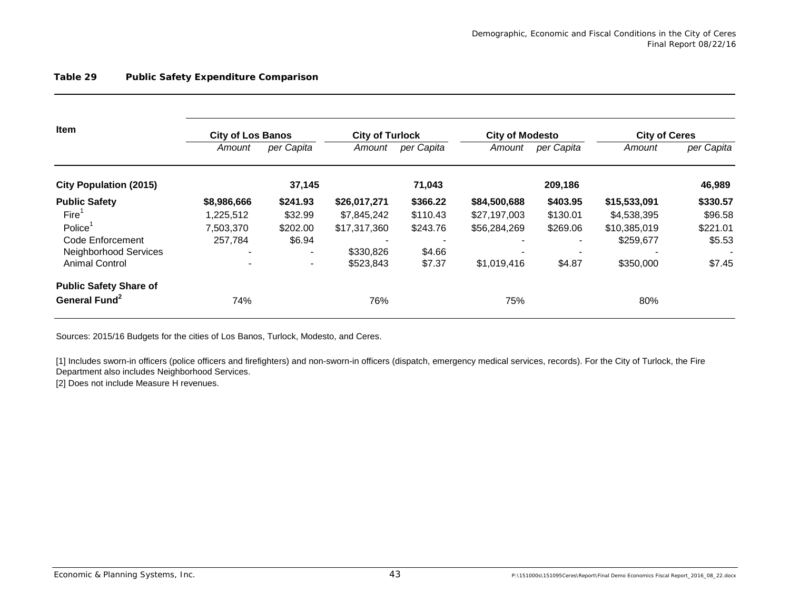| Item                          | <b>City of Los Banos</b> |                | <b>City of Turlock</b> |            | <b>City of Modesto</b> |            | <b>City of Ceres</b> |            |
|-------------------------------|--------------------------|----------------|------------------------|------------|------------------------|------------|----------------------|------------|
|                               | Amount                   | per Capita     | Amount                 | per Capita | Amount                 | per Capita | Amount               | per Capita |
| <b>City Population (2015)</b> |                          | 37,145         |                        | 71,043     |                        | 209,186    |                      | 46,989     |
| <b>Public Safety</b>          | \$8,986,666              | \$241.93       | \$26,017,271           | \$366.22   | \$84,500,688           | \$403.95   | \$15,533,091         | \$330.57   |
| Fire <sup>1</sup>             | 1.225.512                | \$32.99        | \$7,845,242            | \$110.43   | \$27,197,003           | \$130.01   | \$4,538,395          | \$96.58    |
| Police                        | 7,503,370                | \$202.00       | \$17,317,360           | \$243.76   | \$56,284,269           | \$269.06   | \$10,385,019         | \$221.01   |
| Code Enforcement              | 257,784                  | \$6.94         |                        |            |                        |            | \$259,677            | \$5.53     |
| Neighborhood Services         | $\overline{\phantom{0}}$ | $\blacksquare$ | \$330,826              | \$4.66     |                        |            |                      |            |
| <b>Animal Control</b>         |                          | $\blacksquare$ | \$523,843              | \$7.37     | \$1,019,416            | \$4.87     | \$350,000            | \$7.45     |
| <b>Public Safety Share of</b> |                          |                |                        |            |                        |            |                      |            |
| General Fund <sup>2</sup>     | 74%                      |                | 76%                    |            | 75%                    |            | 80%                  |            |

Sources: 2015/16 Budgets for the cities of Los Banos, Turlock, Modesto, and Ceres.

[1] Includes sworn-in officers (police officers and firefighters) and non-sworn-in officers (dispatch, emergency medical services, records). For the City of Turlock, the Fire Department also includes Neighborhood Services.

[2] Does not include Measure H revenues.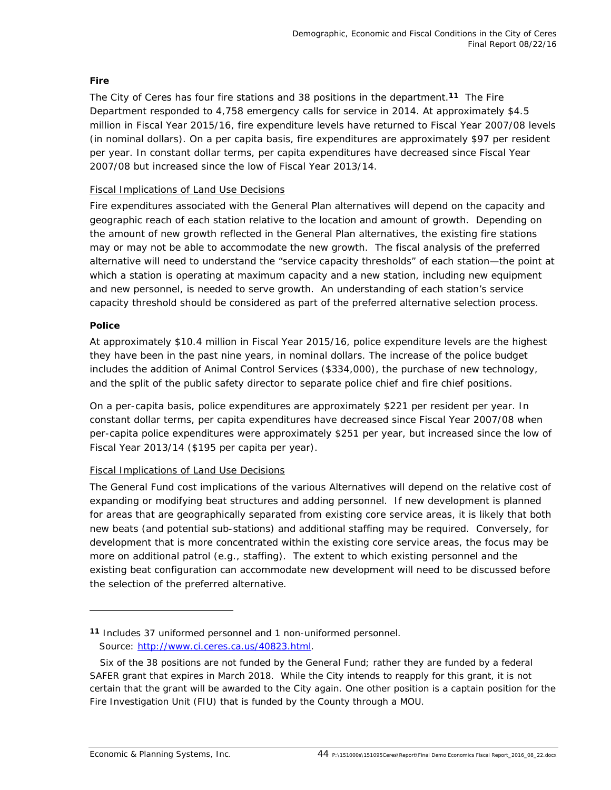### *Fire*

The City of Ceres has four fire stations and 38 positions in the department.**11** The Fire Department responded to 4,758 emergency calls for service in 2014. At approximately \$4.5 million in Fiscal Year 2015/16, fire expenditure levels have returned to Fiscal Year 2007/08 levels (in nominal dollars). On a per capita basis, fire expenditures are approximately \$97 per resident per year. In constant dollar terms, per capita expenditures have decreased since Fiscal Year 2007/08 but increased since the low of Fiscal Year 2013/14.

### Fiscal Implications of Land Use Decisions

Fire expenditures associated with the General Plan alternatives will depend on the capacity and geographic reach of each station relative to the location and amount of growth. Depending on the amount of new growth reflected in the General Plan alternatives, the existing fire stations may or may not be able to accommodate the new growth. The fiscal analysis of the preferred alternative will need to understand the "service capacity thresholds" of each station—the point at which a station is operating at maximum capacity and a new station, including new equipment and new personnel, is needed to serve growth. An understanding of each station's service capacity threshold should be considered as part of the preferred alternative selection process.

### *Police*

At approximately \$10.4 million in Fiscal Year 2015/16, police expenditure levels are the highest they have been in the past nine years, in nominal dollars. The increase of the police budget includes the addition of Animal Control Services (\$334,000), the purchase of new technology, and the split of the public safety director to separate police chief and fire chief positions.

On a per-capita basis, police expenditures are approximately \$221 per resident per year. In constant dollar terms, per capita expenditures have decreased since Fiscal Year 2007/08 when per-capita police expenditures were approximately \$251 per year, but increased since the low of Fiscal Year 2013/14 (\$195 per capita per year).

### Fiscal Implications of Land Use Decisions

The General Fund cost implications of the various Alternatives will depend on the relative cost of expanding or modifying beat structures and adding personnel. If new development is planned for areas that are geographically separated from existing core service areas, it is likely that both new beats (and potential sub-stations) and additional staffing may be required. Conversely, for development that is more concentrated within the existing core service areas, the focus may be more on additional patrol (e.g., staffing). The extent to which existing personnel and the existing beat configuration can accommodate new development will need to be discussed before the selection of the preferred alternative.

**<sup>11</sup>** Includes 37 uniformed personnel and 1 non-uniformed personnel. Source: http://www.ci.ceres.ca.us/40823.html.

Six of the 38 positions are not funded by the General Fund; rather they are funded by a federal SAFER grant that expires in March 2018. While the City intends to reapply for this grant, it is not certain that the grant will be awarded to the City again. One other position is a captain position for the Fire Investigation Unit (FIU) that is funded by the County through a MOU.